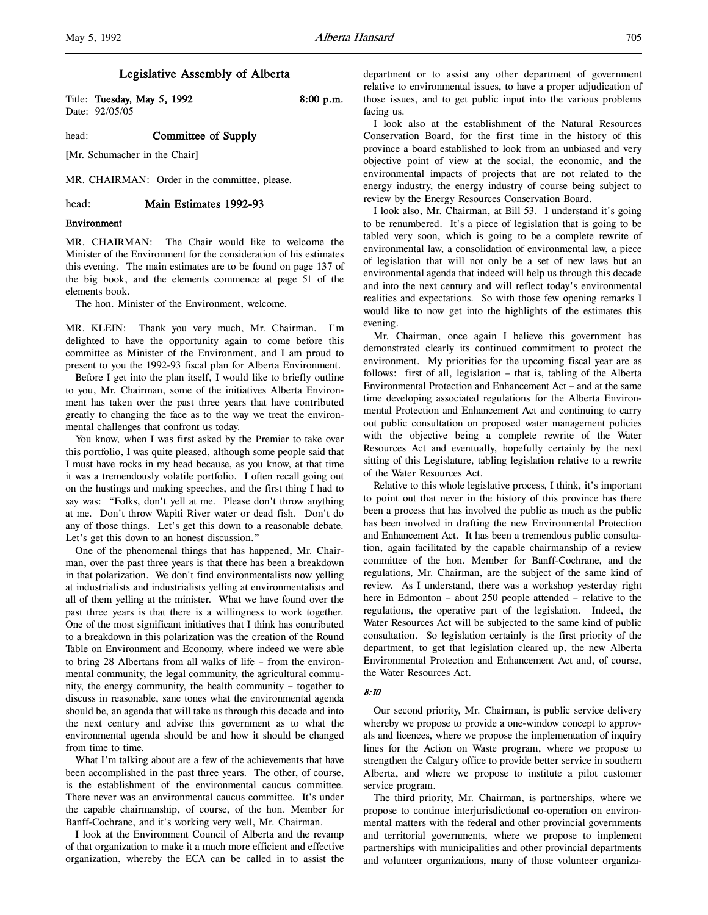Title: Tuesday, May 5, 1992 8:00 p.m. Date: 92/05/05

head: **Committee of Supply** 

[Mr. Schumacher in the Chair]

MR. CHAIRMAN: Order in the committee, please.

head: Main Estimates 1992-93

# Environment

MR. CHAIRMAN: The Chair would like to welcome the Minister of the Environment for the consideration of his estimates this evening. The main estimates are to be found on page 137 of the big book, and the elements commence at page 51 of the elements book.

The hon. Minister of the Environment, welcome.

MR. KLEIN: Thank you very much, Mr. Chairman. I'm delighted to have the opportunity again to come before this committee as Minister of the Environment, and I am proud to present to you the 1992-93 fiscal plan for Alberta Environment.

Before I get into the plan itself, I would like to briefly outline to you, Mr. Chairman, some of the initiatives Alberta Environment has taken over the past three years that have contributed greatly to changing the face as to the way we treat the environmental challenges that confront us today.

You know, when I was first asked by the Premier to take over this portfolio, I was quite pleased, although some people said that I must have rocks in my head because, as you know, at that time it was a tremendously volatile portfolio. I often recall going out on the hustings and making speeches, and the first thing I had to say was: "Folks, don't yell at me. Please don't throw anything at me. Don't throw Wapiti River water or dead fish. Don't do any of those things. Let's get this down to a reasonable debate. Let's get this down to an honest discussion."

One of the phenomenal things that has happened, Mr. Chairman, over the past three years is that there has been a breakdown in that polarization. We don't find environmentalists now yelling at industrialists and industrialists yelling at environmentalists and all of them yelling at the minister. What we have found over the past three years is that there is a willingness to work together. One of the most significant initiatives that I think has contributed to a breakdown in this polarization was the creation of the Round Table on Environment and Economy, where indeed we were able to bring 28 Albertans from all walks of life – from the environmental community, the legal community, the agricultural community, the energy community, the health community – together to discuss in reasonable, sane tones what the environmental agenda should be, an agenda that will take us through this decade and into the next century and advise this government as to what the environmental agenda should be and how it should be changed from time to time.

What I'm talking about are a few of the achievements that have been accomplished in the past three years. The other, of course, is the establishment of the environmental caucus committee. There never was an environmental caucus committee. It's under the capable chairmanship, of course, of the hon. Member for Banff-Cochrane, and it's working very well, Mr. Chairman.

I look at the Environment Council of Alberta and the revamp of that organization to make it a much more efficient and effective organization, whereby the ECA can be called in to assist the department or to assist any other department of government relative to environmental issues, to have a proper adjudication of those issues, and to get public input into the various problems facing us.

I look also at the establishment of the Natural Resources Conservation Board, for the first time in the history of this province a board established to look from an unbiased and very objective point of view at the social, the economic, and the environmental impacts of projects that are not related to the energy industry, the energy industry of course being subject to review by the Energy Resources Conservation Board.

I look also, Mr. Chairman, at Bill 53. I understand it's going to be renumbered. It's a piece of legislation that is going to be tabled very soon, which is going to be a complete rewrite of environmental law, a consolidation of environmental law, a piece of legislation that will not only be a set of new laws but an environmental agenda that indeed will help us through this decade and into the next century and will reflect today's environmental realities and expectations. So with those few opening remarks I would like to now get into the highlights of the estimates this evening.

Mr. Chairman, once again I believe this government has demonstrated clearly its continued commitment to protect the environment. My priorities for the upcoming fiscal year are as follows: first of all, legislation – that is, tabling of the Alberta Environmental Protection and Enhancement Act – and at the same time developing associated regulations for the Alberta Environmental Protection and Enhancement Act and continuing to carry out public consultation on proposed water management policies with the objective being a complete rewrite of the Water Resources Act and eventually, hopefully certainly by the next sitting of this Legislature, tabling legislation relative to a rewrite of the Water Resources Act.

Relative to this whole legislative process, I think, it's important to point out that never in the history of this province has there been a process that has involved the public as much as the public has been involved in drafting the new Environmental Protection and Enhancement Act. It has been a tremendous public consultation, again facilitated by the capable chairmanship of a review committee of the hon. Member for Banff-Cochrane, and the regulations, Mr. Chairman, are the subject of the same kind of review. As I understand, there was a workshop yesterday right here in Edmonton – about 250 people attended – relative to the regulations, the operative part of the legislation. Indeed, the Water Resources Act will be subjected to the same kind of public consultation. So legislation certainly is the first priority of the department, to get that legislation cleared up, the new Alberta Environmental Protection and Enhancement Act and, of course, the Water Resources Act.

#### 8:10

Our second priority, Mr. Chairman, is public service delivery whereby we propose to provide a one-window concept to approvals and licences, where we propose the implementation of inquiry lines for the Action on Waste program, where we propose to strengthen the Calgary office to provide better service in southern Alberta, and where we propose to institute a pilot customer service program.

The third priority, Mr. Chairman, is partnerships, where we propose to continue interjurisdictional co-operation on environmental matters with the federal and other provincial governments and territorial governments, where we propose to implement partnerships with municipalities and other provincial departments and volunteer organizations, many of those volunteer organiza-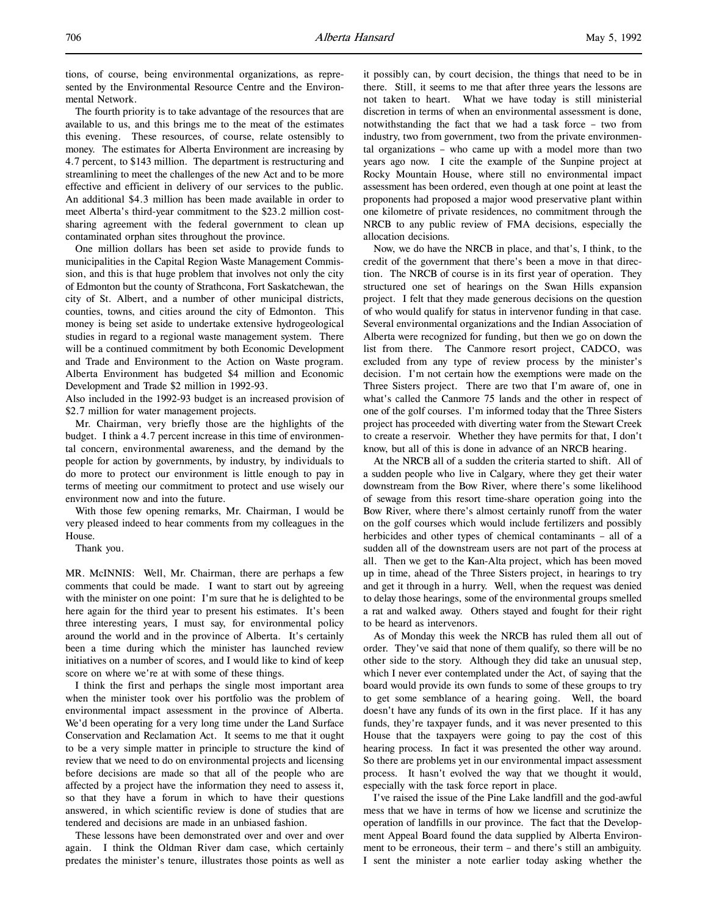The fourth priority is to take advantage of the resources that are available to us, and this brings me to the meat of the estimates this evening. These resources, of course, relate ostensibly to money. The estimates for Alberta Environment are increasing by 4.7 percent, to \$143 million. The department is restructuring and streamlining to meet the challenges of the new Act and to be more effective and efficient in delivery of our services to the public. An additional \$4.3 million has been made available in order to meet Alberta's third-year commitment to the \$23.2 million costsharing agreement with the federal government to clean up contaminated orphan sites throughout the province.

One million dollars has been set aside to provide funds to municipalities in the Capital Region Waste Management Commission, and this is that huge problem that involves not only the city of Edmonton but the county of Strathcona, Fort Saskatchewan, the city of St. Albert, and a number of other municipal districts, counties, towns, and cities around the city of Edmonton. This money is being set aside to undertake extensive hydrogeological studies in regard to a regional waste management system. There will be a continued commitment by both Economic Development and Trade and Environment to the Action on Waste program. Alberta Environment has budgeted \$4 million and Economic Development and Trade \$2 million in 1992-93.

Also included in the 1992-93 budget is an increased provision of \$2.7 million for water management projects.

Mr. Chairman, very briefly those are the highlights of the budget. I think a 4.7 percent increase in this time of environmental concern, environmental awareness, and the demand by the people for action by governments, by industry, by individuals to do more to protect our environment is little enough to pay in terms of meeting our commitment to protect and use wisely our environment now and into the future.

With those few opening remarks, Mr. Chairman, I would be very pleased indeed to hear comments from my colleagues in the House.

Thank you.

MR. McINNIS: Well, Mr. Chairman, there are perhaps a few comments that could be made. I want to start out by agreeing with the minister on one point: I'm sure that he is delighted to be here again for the third year to present his estimates. It's been three interesting years, I must say, for environmental policy around the world and in the province of Alberta. It's certainly been a time during which the minister has launched review initiatives on a number of scores, and I would like to kind of keep score on where we're at with some of these things.

I think the first and perhaps the single most important area when the minister took over his portfolio was the problem of environmental impact assessment in the province of Alberta. We'd been operating for a very long time under the Land Surface Conservation and Reclamation Act. It seems to me that it ought to be a very simple matter in principle to structure the kind of review that we need to do on environmental projects and licensing before decisions are made so that all of the people who are affected by a project have the information they need to assess it, so that they have a forum in which to have their questions answered, in which scientific review is done of studies that are tendered and decisions are made in an unbiased fashion.

These lessons have been demonstrated over and over and over again. I think the Oldman River dam case, which certainly predates the minister's tenure, illustrates those points as well as it possibly can, by court decision, the things that need to be in there. Still, it seems to me that after three years the lessons are not taken to heart. What we have today is still ministerial discretion in terms of when an environmental assessment is done, notwithstanding the fact that we had a task force – two from industry, two from government, two from the private environmental organizations – who came up with a model more than two years ago now. I cite the example of the Sunpine project at Rocky Mountain House, where still no environmental impact assessment has been ordered, even though at one point at least the proponents had proposed a major wood preservative plant within one kilometre of private residences, no commitment through the NRCB to any public review of FMA decisions, especially the allocation decisions.

Now, we do have the NRCB in place, and that's, I think, to the credit of the government that there's been a move in that direction. The NRCB of course is in its first year of operation. They structured one set of hearings on the Swan Hills expansion project. I felt that they made generous decisions on the question of who would qualify for status in intervenor funding in that case. Several environmental organizations and the Indian Association of Alberta were recognized for funding, but then we go on down the list from there. The Canmore resort project, CADCO, was excluded from any type of review process by the minister's decision. I'm not certain how the exemptions were made on the Three Sisters project. There are two that I'm aware of, one in what's called the Canmore 75 lands and the other in respect of one of the golf courses. I'm informed today that the Three Sisters project has proceeded with diverting water from the Stewart Creek to create a reservoir. Whether they have permits for that, I don't know, but all of this is done in advance of an NRCB hearing.

At the NRCB all of a sudden the criteria started to shift. All of a sudden people who live in Calgary, where they get their water downstream from the Bow River, where there's some likelihood of sewage from this resort time-share operation going into the Bow River, where there's almost certainly runoff from the water on the golf courses which would include fertilizers and possibly herbicides and other types of chemical contaminants – all of a sudden all of the downstream users are not part of the process at all. Then we get to the Kan-Alta project, which has been moved up in time, ahead of the Three Sisters project, in hearings to try and get it through in a hurry. Well, when the request was denied to delay those hearings, some of the environmental groups smelled a rat and walked away. Others stayed and fought for their right to be heard as intervenors.

As of Monday this week the NRCB has ruled them all out of order. They've said that none of them qualify, so there will be no other side to the story. Although they did take an unusual step, which I never ever contemplated under the Act, of saying that the board would provide its own funds to some of these groups to try to get some semblance of a hearing going. Well, the board doesn't have any funds of its own in the first place. If it has any funds, they're taxpayer funds, and it was never presented to this House that the taxpayers were going to pay the cost of this hearing process. In fact it was presented the other way around. So there are problems yet in our environmental impact assessment process. It hasn't evolved the way that we thought it would, especially with the task force report in place.

I've raised the issue of the Pine Lake landfill and the god-awful mess that we have in terms of how we license and scrutinize the operation of landfills in our province. The fact that the Development Appeal Board found the data supplied by Alberta Environment to be erroneous, their term – and there's still an ambiguity. I sent the minister a note earlier today asking whether the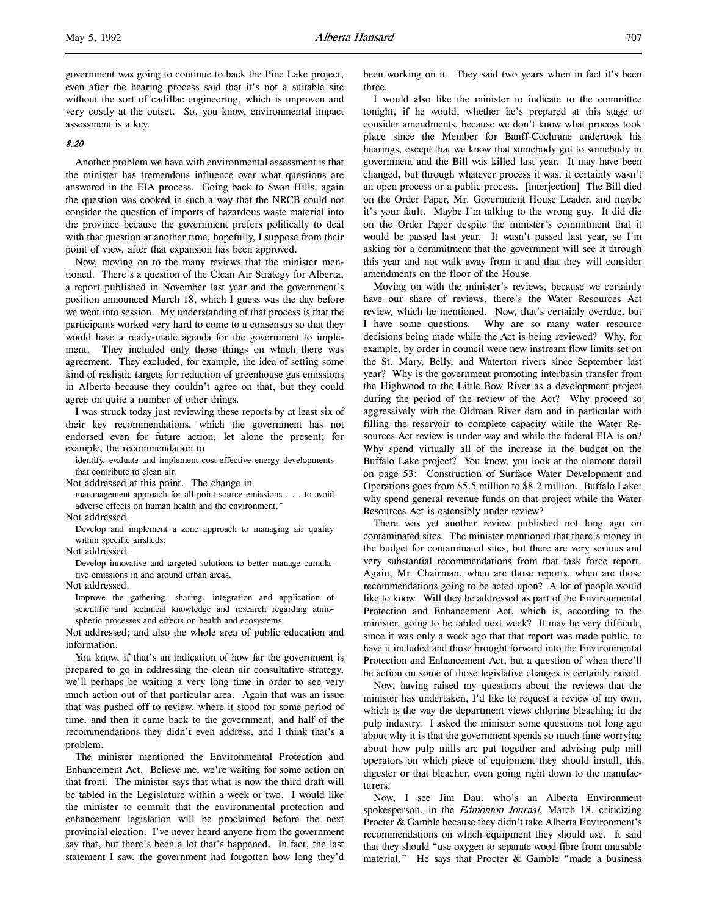government was going to continue to back the Pine Lake project, even after the hearing process said that it's not a suitable site without the sort of cadillac engineering, which is unproven and very costly at the outset. So, you know, environmental impact assessment is a key.

# 8:20

l,

Another problem we have with environmental assessment is that the minister has tremendous influence over what questions are answered in the EIA process. Going back to Swan Hills, again the question was cooked in such a way that the NRCB could not consider the question of imports of hazardous waste material into the province because the government prefers politically to deal with that question at another time, hopefully, I suppose from their point of view, after that expansion has been approved.

Now, moving on to the many reviews that the minister mentioned. There's a question of the Clean Air Strategy for Alberta, a report published in November last year and the government's position announced March 18, which I guess was the day before we went into session. My understanding of that process is that the participants worked very hard to come to a consensus so that they would have a ready-made agenda for the government to implement. They included only those things on which there was agreement. They excluded, for example, the idea of setting some kind of realistic targets for reduction of greenhouse gas emissions in Alberta because they couldn't agree on that, but they could agree on quite a number of other things.

I was struck today just reviewing these reports by at least six of their key recommendations, which the government has not endorsed even for future action, let alone the present; for example, the recommendation to

identify, evaluate and implement cost-effective energy developments that contribute to clean air.

Not addressed at this point. The change in

mananagement approach for all point-source emissions . . . to avoid adverse effects on human health and the environment."

Not addressed.

Develop and implement a zone approach to managing air quality within specific airsheds:

Not addressed.

Develop innovative and targeted solutions to better manage cumulative emissions in and around urban areas.

Not addressed.

Improve the gathering, sharing, integration and application of scientific and technical knowledge and research regarding atmospheric processes and effects on health and ecosystems.

Not addressed; and also the whole area of public education and information.

You know, if that's an indication of how far the government is prepared to go in addressing the clean air consultative strategy, we'll perhaps be waiting a very long time in order to see very much action out of that particular area. Again that was an issue that was pushed off to review, where it stood for some period of time, and then it came back to the government, and half of the recommendations they didn't even address, and I think that's a problem.

The minister mentioned the Environmental Protection and Enhancement Act. Believe me, we're waiting for some action on that front. The minister says that what is now the third draft will be tabled in the Legislature within a week or two. I would like the minister to commit that the environmental protection and enhancement legislation will be proclaimed before the next provincial election. I've never heard anyone from the government say that, but there's been a lot that's happened. In fact, the last statement I saw, the government had forgotten how long they'd

been working on it. They said two years when in fact it's been three.

I would also like the minister to indicate to the committee tonight, if he would, whether he's prepared at this stage to consider amendments, because we don't know what process took place since the Member for Banff-Cochrane undertook his hearings, except that we know that somebody got to somebody in government and the Bill was killed last year. It may have been changed, but through whatever process it was, it certainly wasn't an open process or a public process. [interjection] The Bill died on the Order Paper, Mr. Government House Leader, and maybe it's your fault. Maybe I'm talking to the wrong guy. It did die on the Order Paper despite the minister's commitment that it would be passed last year. It wasn't passed last year, so I'm asking for a commitment that the government will see it through this year and not walk away from it and that they will consider amendments on the floor of the House.

Moving on with the minister's reviews, because we certainly have our share of reviews, there's the Water Resources Act review, which he mentioned. Now, that's certainly overdue, but I have some questions. Why are so many water resource decisions being made while the Act is being reviewed? Why, for example, by order in council were new instream flow limits set on the St. Mary, Belly, and Waterton rivers since September last year? Why is the government promoting interbasin transfer from the Highwood to the Little Bow River as a development project during the period of the review of the Act? Why proceed so aggressively with the Oldman River dam and in particular with filling the reservoir to complete capacity while the Water Resources Act review is under way and while the federal EIA is on? Why spend virtually all of the increase in the budget on the Buffalo Lake project? You know, you look at the element detail on page 53: Construction of Surface Water Development and Operations goes from \$5.5 million to \$8.2 million. Buffalo Lake: why spend general revenue funds on that project while the Water Resources Act is ostensibly under review?

There was yet another review published not long ago on contaminated sites. The minister mentioned that there's money in the budget for contaminated sites, but there are very serious and very substantial recommendations from that task force report. Again, Mr. Chairman, when are those reports, when are those recommendations going to be acted upon? A lot of people would like to know. Will they be addressed as part of the Environmental Protection and Enhancement Act, which is, according to the minister, going to be tabled next week? It may be very difficult, since it was only a week ago that that report was made public, to have it included and those brought forward into the Environmental Protection and Enhancement Act, but a question of when there'll be action on some of those legislative changes is certainly raised.

Now, having raised my questions about the reviews that the minister has undertaken, I'd like to request a review of my own, which is the way the department views chlorine bleaching in the pulp industry. I asked the minister some questions not long ago about why it is that the government spends so much time worrying about how pulp mills are put together and advising pulp mill operators on which piece of equipment they should install, this digester or that bleacher, even going right down to the manufacturers.

Now, I see Jim Dau, who's an Alberta Environment spokesperson, in the *Edmonton Journal*, March 18, criticizing Procter & Gamble because they didn't take Alberta Environment's recommendations on which equipment they should use. It said that they should "use oxygen to separate wood fibre from unusable material." He says that Procter & Gamble "made a business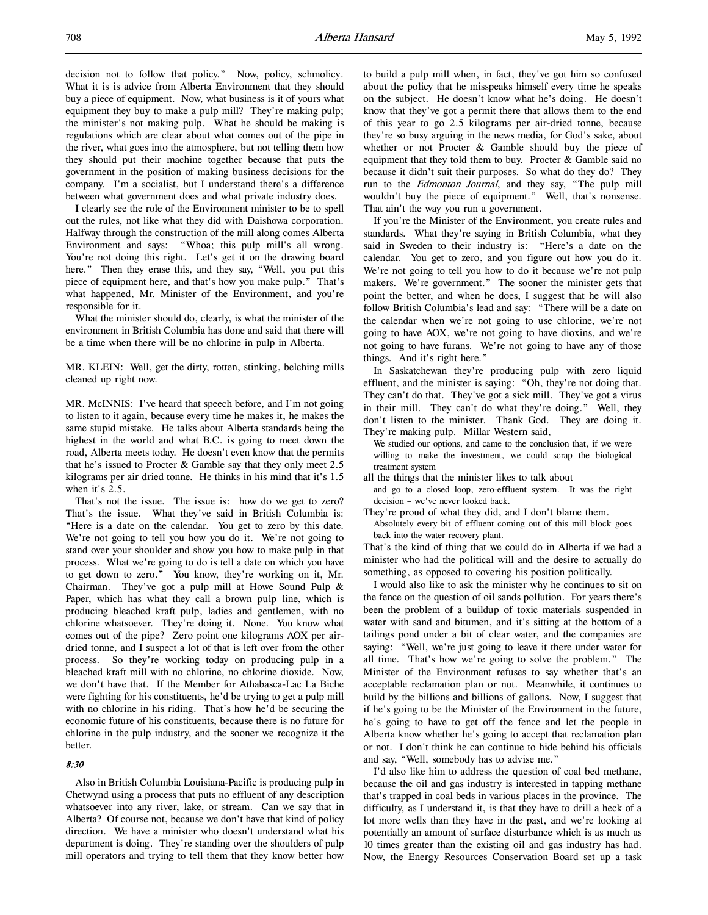decision not to follow that policy." Now, policy, schmolicy. What it is is advice from Alberta Environment that they should buy a piece of equipment. Now, what business is it of yours what equipment they buy to make a pulp mill? They're making pulp; the minister's not making pulp. What he should be making is regulations which are clear about what comes out of the pipe in the river, what goes into the atmosphere, but not telling them how they should put their machine together because that puts the government in the position of making business decisions for the company. I'm a socialist, but I understand there's a difference between what government does and what private industry does.

I clearly see the role of the Environment minister to be to spell out the rules, not like what they did with Daishowa corporation. Halfway through the construction of the mill along comes Alberta Environment and says: "Whoa; this pulp mill's all wrong. You're not doing this right. Let's get it on the drawing board here." Then they erase this, and they say, "Well, you put this piece of equipment here, and that's how you make pulp." That's what happened, Mr. Minister of the Environment, and you're responsible for it.

What the minister should do, clearly, is what the minister of the environment in British Columbia has done and said that there will be a time when there will be no chlorine in pulp in Alberta.

MR. KLEIN: Well, get the dirty, rotten, stinking, belching mills cleaned up right now.

MR. McINNIS: I've heard that speech before, and I'm not going to listen to it again, because every time he makes it, he makes the same stupid mistake. He talks about Alberta standards being the highest in the world and what B.C. is going to meet down the road, Alberta meets today. He doesn't even know that the permits that he's issued to Procter & Gamble say that they only meet 2.5 kilograms per air dried tonne. He thinks in his mind that it's 1.5 when it's 2.5.

That's not the issue. The issue is: how do we get to zero? That's the issue. What they've said in British Columbia is: "Here is a date on the calendar. You get to zero by this date. We're not going to tell you how you do it. We're not going to stand over your shoulder and show you how to make pulp in that process. What we're going to do is tell a date on which you have to get down to zero." You know, they're working on it, Mr. Chairman. They've got a pulp mill at Howe Sound Pulp & Paper, which has what they call a brown pulp line, which is producing bleached kraft pulp, ladies and gentlemen, with no chlorine whatsoever. They're doing it. None. You know what comes out of the pipe? Zero point one kilograms AOX per airdried tonne, and I suspect a lot of that is left over from the other process. So they're working today on producing pulp in a bleached kraft mill with no chlorine, no chlorine dioxide. Now, we don't have that. If the Member for Athabasca-Lac La Biche were fighting for his constituents, he'd be trying to get a pulp mill with no chlorine in his riding. That's how he'd be securing the economic future of his constituents, because there is no future for chlorine in the pulp industry, and the sooner we recognize it the better.

# 8:30

Also in British Columbia Louisiana-Pacific is producing pulp in Chetwynd using a process that puts no effluent of any description whatsoever into any river, lake, or stream. Can we say that in Alberta? Of course not, because we don't have that kind of policy direction. We have a minister who doesn't understand what his department is doing. They're standing over the shoulders of pulp mill operators and trying to tell them that they know better how

to build a pulp mill when, in fact, they've got him so confused about the policy that he misspeaks himself every time he speaks on the subject. He doesn't know what he's doing. He doesn't know that they've got a permit there that allows them to the end of this year to go 2.5 kilograms per air-dried tonne, because they're so busy arguing in the news media, for God's sake, about whether or not Procter & Gamble should buy the piece of equipment that they told them to buy. Procter & Gamble said no because it didn't suit their purposes. So what do they do? They run to the *Edmonton Journal*, and they say, "The pulp mill wouldn't buy the piece of equipment." Well, that's nonsense. That ain't the way you run a government.

If you're the Minister of the Environment, you create rules and standards. What they're saying in British Columbia, what they said in Sweden to their industry is: "Here's a date on the calendar. You get to zero, and you figure out how you do it. We're not going to tell you how to do it because we're not pulp makers. We're government." The sooner the minister gets that point the better, and when he does, I suggest that he will also follow British Columbia's lead and say: "There will be a date on the calendar when we're not going to use chlorine, we're not going to have AOX, we're not going to have dioxins, and we're not going to have furans. We're not going to have any of those things. And it's right here."

In Saskatchewan they're producing pulp with zero liquid effluent, and the minister is saying: "Oh, they're not doing that. They can't do that. They've got a sick mill. They've got a virus in their mill. They can't do what they're doing." Well, they don't listen to the minister. Thank God. They are doing it. They're making pulp. Millar Western said,

We studied our options, and came to the conclusion that, if we were willing to make the investment, we could scrap the biological treatment system

all the things that the minister likes to talk about

- and go to a closed loop, zero-effluent system. It was the right decision – we've never looked back.
- They're proud of what they did, and I don't blame them. Absolutely every bit of effluent coming out of this mill block goes back into the water recovery plant.

That's the kind of thing that we could do in Alberta if we had a minister who had the political will and the desire to actually do something, as opposed to covering his position politically.

I would also like to ask the minister why he continues to sit on the fence on the question of oil sands pollution. For years there's been the problem of a buildup of toxic materials suspended in water with sand and bitumen, and it's sitting at the bottom of a tailings pond under a bit of clear water, and the companies are saying: "Well, we're just going to leave it there under water for all time. That's how we're going to solve the problem." The Minister of the Environment refuses to say whether that's an acceptable reclamation plan or not. Meanwhile, it continues to build by the billions and billions of gallons. Now, I suggest that if he's going to be the Minister of the Environment in the future, he's going to have to get off the fence and let the people in Alberta know whether he's going to accept that reclamation plan or not. I don't think he can continue to hide behind his officials and say, "Well, somebody has to advise me."

I'd also like him to address the question of coal bed methane, because the oil and gas industry is interested in tapping methane that's trapped in coal beds in various places in the province. The difficulty, as I understand it, is that they have to drill a heck of a lot more wells than they have in the past, and we're looking at potentially an amount of surface disturbance which is as much as 10 times greater than the existing oil and gas industry has had. Now, the Energy Resources Conservation Board set up a task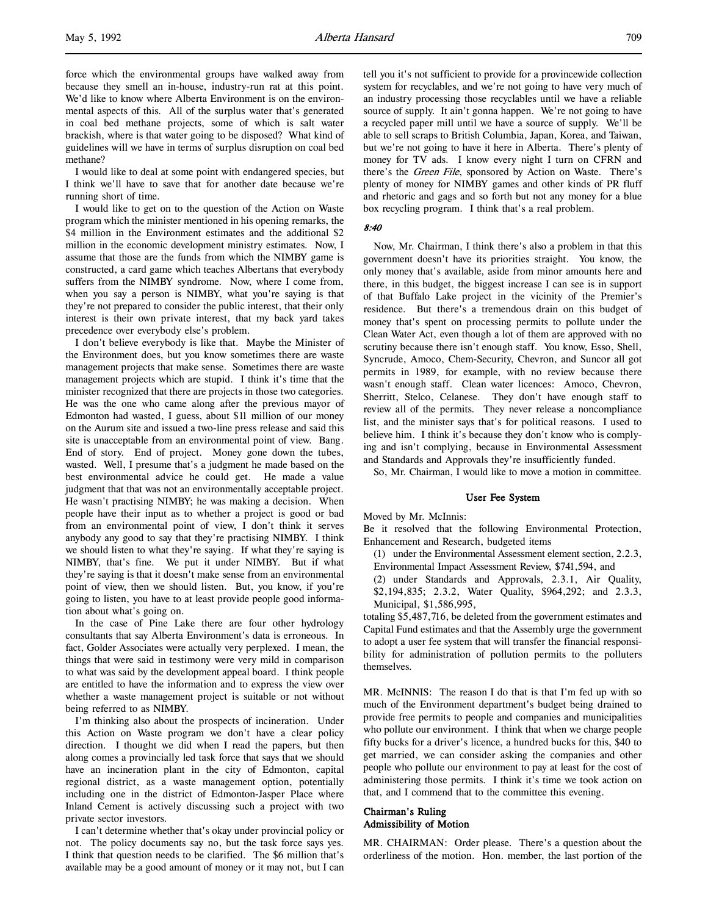I would like to deal at some point with endangered species, but I think we'll have to save that for another date because we're running short of time.

I would like to get on to the question of the Action on Waste program which the minister mentioned in his opening remarks, the \$4 million in the Environment estimates and the additional \$2 million in the economic development ministry estimates. Now, I assume that those are the funds from which the NIMBY game is constructed, a card game which teaches Albertans that everybody suffers from the NIMBY syndrome. Now, where I come from, when you say a person is NIMBY, what you're saying is that they're not prepared to consider the public interest, that their only interest is their own private interest, that my back yard takes precedence over everybody else's problem.

I don't believe everybody is like that. Maybe the Minister of the Environment does, but you know sometimes there are waste management projects that make sense. Sometimes there are waste management projects which are stupid. I think it's time that the minister recognized that there are projects in those two categories. He was the one who came along after the previous mayor of Edmonton had wasted, I guess, about \$11 million of our money on the Aurum site and issued a two-line press release and said this site is unacceptable from an environmental point of view. Bang. End of story. End of project. Money gone down the tubes, wasted. Well, I presume that's a judgment he made based on the best environmental advice he could get. He made a value judgment that that was not an environmentally acceptable project. He wasn't practising NIMBY; he was making a decision. When people have their input as to whether a project is good or bad from an environmental point of view, I don't think it serves anybody any good to say that they're practising NIMBY. I think we should listen to what they're saying. If what they're saying is NIMBY, that's fine. We put it under NIMBY. But if what they're saying is that it doesn't make sense from an environmental point of view, then we should listen. But, you know, if you're going to listen, you have to at least provide people good information about what's going on.

In the case of Pine Lake there are four other hydrology consultants that say Alberta Environment's data is erroneous. In fact, Golder Associates were actually very perplexed. I mean, the things that were said in testimony were very mild in comparison to what was said by the development appeal board. I think people are entitled to have the information and to express the view over whether a waste management project is suitable or not without being referred to as NIMBY.

I'm thinking also about the prospects of incineration. Under this Action on Waste program we don't have a clear policy direction. I thought we did when I read the papers, but then along comes a provincially led task force that says that we should have an incineration plant in the city of Edmonton, capital regional district, as a waste management option, potentially including one in the district of Edmonton-Jasper Place where Inland Cement is actively discussing such a project with two private sector investors.

I can't determine whether that's okay under provincial policy or not. The policy documents say no, but the task force says yes. I think that question needs to be clarified. The \$6 million that's available may be a good amount of money or it may not, but I can

tell you it's not sufficient to provide for a provincewide collection system for recyclables, and we're not going to have very much of an industry processing those recyclables until we have a reliable source of supply. It ain't gonna happen. We're not going to have a recycled paper mill until we have a source of supply. We'll be able to sell scraps to British Columbia, Japan, Korea, and Taiwan, but we're not going to have it here in Alberta. There's plenty of money for TV ads. I know every night I turn on CFRN and there's the Green File, sponsored by Action on Waste. There's plenty of money for NIMBY games and other kinds of PR fluff and rhetoric and gags and so forth but not any money for a blue box recycling program. I think that's a real problem.

### 8:40

Now, Mr. Chairman, I think there's also a problem in that this government doesn't have its priorities straight. You know, the only money that's available, aside from minor amounts here and there, in this budget, the biggest increase I can see is in support of that Buffalo Lake project in the vicinity of the Premier's residence. But there's a tremendous drain on this budget of money that's spent on processing permits to pollute under the Clean Water Act, even though a lot of them are approved with no scrutiny because there isn't enough staff. You know, Esso, Shell, Syncrude, Amoco, Chem-Security, Chevron, and Suncor all got permits in 1989, for example, with no review because there wasn't enough staff. Clean water licences: Amoco, Chevron, Sherritt, Stelco, Celanese. They don't have enough staff to review all of the permits. They never release a noncompliance list, and the minister says that's for political reasons. I used to believe him. I think it's because they don't know who is complying and isn't complying, because in Environmental Assessment and Standards and Approvals they're insufficiently funded.

So, Mr. Chairman, I would like to move a motion in committee.

# User Fee System

# Moved by Mr. McInnis:

Be it resolved that the following Environmental Protection, Enhancement and Research, budgeted items

- (1) under the Environmental Assessment element section, 2.2.3, Environmental Impact Assessment Review, \$741,594, and
- (2) under Standards and Approvals, 2.3.1, Air Quality,
- \$2,194,835; 2.3.2, Water Quality, \$964,292; and 2.3.3, Municipal, \$1,586,995,

totaling \$5,487,716, be deleted from the government estimates and Capital Fund estimates and that the Assembly urge the government to adopt a user fee system that will transfer the financial responsibility for administration of pollution permits to the polluters themselves.

MR. McINNIS: The reason I do that is that I'm fed up with so much of the Environment department's budget being drained to provide free permits to people and companies and municipalities who pollute our environment. I think that when we charge people fifty bucks for a driver's licence, a hundred bucks for this, \$40 to get married, we can consider asking the companies and other people who pollute our environment to pay at least for the cost of administering those permits. I think it's time we took action on that, and I commend that to the committee this evening.

# Chairman's Ruling Admissibility of Motion

MR. CHAIRMAN: Order please. There's a question about the orderliness of the motion. Hon. member, the last portion of the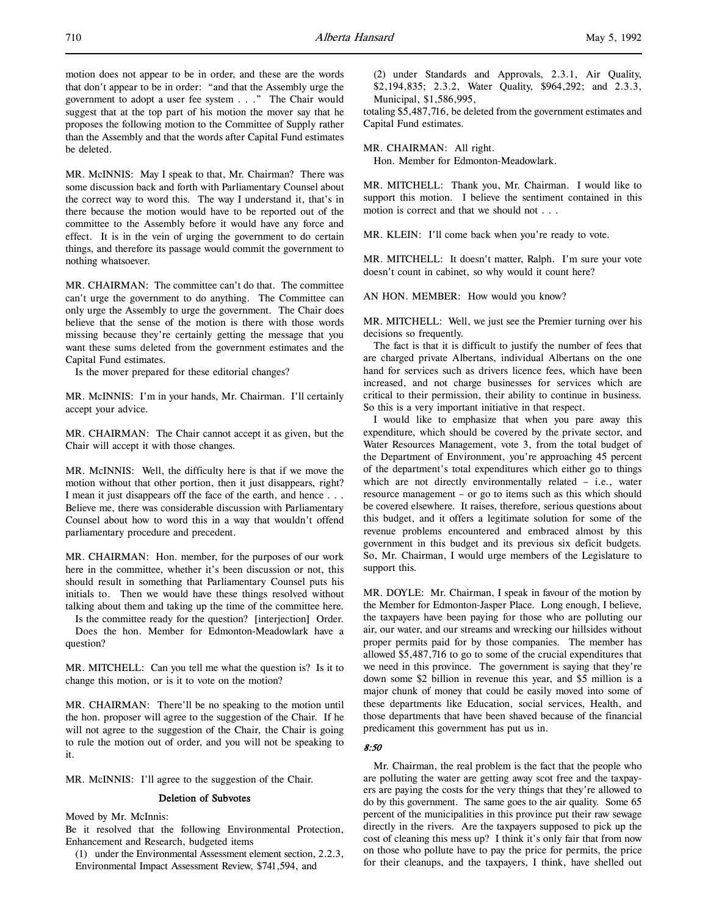MR. McINNIS: May I speak to that, Mr. Chairman? There was some discussion back and forth with Parliamentary Counsel about the correct way to word this. The way I understand it, that's in there because the motion would have to be reported out of the committee to the Assembly before it would have any force and effect. It is in the vein of urging the government to do certain things, and therefore its passage would commit the government to nothing whatsoever.

MR. CHAIRMAN: The committee can't do that. The committee can't urge the government to do anything. The Committee can only urge the Assembly to urge the government. The Chair does believe that the sense of the motion is there with those words missing because they're certainly getting the message that you want these sums deleted from the government estimates and the Capital Fund estimates.

Is the mover prepared for these editorial changes?

MR. McINNIS: I'm in your hands, Mr. Chairman. I'll certainly accept your advice.

MR. CHAIRMAN: The Chair cannot accept it as given, but the Chair will accept it with those changes.

MR. McINNIS: Well, the difficulty here is that if we move the motion without that other portion, then it just disappears, right? I mean it just disappears off the face of the earth, and hence . . . Believe me, there was considerable discussion with Parliamentary Counsel about how to word this in a way that wouldn't offend parliamentary procedure and precedent.

MR. CHAIRMAN: Hon. member, for the purposes of our work here in the committee, whether it's been discussion or not, this should result in something that Parliamentary Counsel puts his initials to. Then we would have these things resolved without talking about them and taking up the time of the committee here.

Is the committee ready for the question? [interjection] Order. Does the hon. Member for Edmonton-Meadowlark have a question?

MR. MITCHELL: Can you tell me what the question is? Is it to change this motion, or is it to vote on the motion?

MR. CHAIRMAN: There'll be no speaking to the motion until the hon. proposer will agree to the suggestion of the Chair. If he will not agree to the suggestion of the Chair, the Chair is going to rule the motion out of order, and you will not be speaking to it.

MR. McINNIS: I'll agree to the suggestion of the Chair.

### Deletion of Subvotes

Moved by Mr. McInnis:

Be it resolved that the following Environmental Protection, Enhancement and Research, budgeted items

(1) under the Environmental Assessment element section, 2.2.3, Environmental Impact Assessment Review, \$741,594, and

(2) under Standards and Approvals, 2.3.1, Air Quality, \$2,194,835; 2.3.2, Water Quality, \$964,292; and 2.3.3, Municipal, \$1,586,995,

totaling \$5,487,716, be deleted from the government estimates and Capital Fund estimates.

MR. CHAIRMAN: All right.

Hon. Member for Edmonton-Meadowlark.

MR. MITCHELL: Thank you, Mr. Chairman. I would like to support this motion. I believe the sentiment contained in this motion is correct and that we should not . . .

MR. KLEIN: I'll come back when you're ready to vote.

MR. MITCHELL: It doesn't matter, Ralph. I'm sure your vote doesn't count in cabinet, so why would it count here?

AN HON. MEMBER: How would you know?

MR. MITCHELL: Well, we just see the Premier turning over his decisions so frequently.

The fact is that it is difficult to justify the number of fees that are charged private Albertans, individual Albertans on the one hand for services such as drivers licence fees, which have been increased, and not charge businesses for services which are critical to their permission, their ability to continue in business. So this is a very important initiative in that respect.

I would like to emphasize that when you pare away this expenditure, which should be covered by the private sector, and Water Resources Management, vote 3, from the total budget of the Department of Environment, you're approaching 45 percent of the department's total expenditures which either go to things which are not directly environmentally related – i.e., water resource management – or go to items such as this which should be covered elsewhere. It raises, therefore, serious questions about this budget, and it offers a legitimate solution for some of the revenue problems encountered and embraced almost by this government in this budget and its previous six deficit budgets. So, Mr. Chairman, I would urge members of the Legislature to support this.

MR. DOYLE: Mr. Chairman, I speak in favour of the motion by the Member for Edmonton-Jasper Place. Long enough, I believe, the taxpayers have been paying for those who are polluting our air, our water, and our streams and wrecking our hillsides without proper permits paid for by those companies. The member has allowed \$5,487,716 to go to some of the crucial expenditures that we need in this province. The government is saying that they're down some \$2 billion in revenue this year, and \$5 million is a major chunk of money that could be easily moved into some of these departments like Education, social services, Health, and those departments that have been shaved because of the financial predicament this government has put us in.

### $8.50$

Mr. Chairman, the real problem is the fact that the people who are polluting the water are getting away scot free and the taxpayers are paying the costs for the very things that they're allowed to do by this government. The same goes to the air quality. Some 65 percent of the municipalities in this province put their raw sewage directly in the rivers. Are the taxpayers supposed to pick up the cost of cleaning this mess up? I think it's only fair that from now on those who pollute have to pay the price for permits, the price for their cleanups, and the taxpayers, I think, have shelled out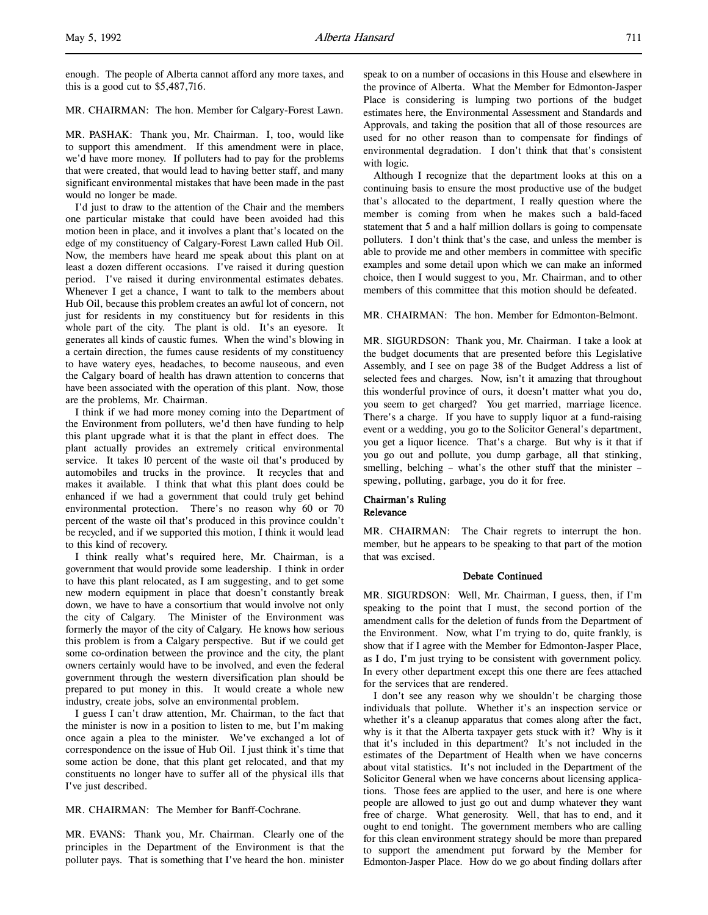l,

enough. The people of Alberta cannot afford any more taxes, and this is a good cut to \$5,487,716.

MR. CHAIRMAN: The hon. Member for Calgary-Forest Lawn.

MR. PASHAK: Thank you, Mr. Chairman. I, too, would like to support this amendment. If this amendment were in place, we'd have more money. If polluters had to pay for the problems that were created, that would lead to having better staff, and many significant environmental mistakes that have been made in the past would no longer be made.

I'd just to draw to the attention of the Chair and the members one particular mistake that could have been avoided had this motion been in place, and it involves a plant that's located on the edge of my constituency of Calgary-Forest Lawn called Hub Oil. Now, the members have heard me speak about this plant on at least a dozen different occasions. I've raised it during question period. I've raised it during environmental estimates debates. Whenever I get a chance, I want to talk to the members about Hub Oil, because this problem creates an awful lot of concern, not just for residents in my constituency but for residents in this whole part of the city. The plant is old. It's an eyesore. It generates all kinds of caustic fumes. When the wind's blowing in a certain direction, the fumes cause residents of my constituency to have watery eyes, headaches, to become nauseous, and even the Calgary board of health has drawn attention to concerns that have been associated with the operation of this plant. Now, those are the problems, Mr. Chairman.

I think if we had more money coming into the Department of the Environment from polluters, we'd then have funding to help this plant upgrade what it is that the plant in effect does. The plant actually provides an extremely critical environmental service. It takes 10 percent of the waste oil that's produced by automobiles and trucks in the province. It recycles that and makes it available. I think that what this plant does could be enhanced if we had a government that could truly get behind environmental protection. There's no reason why 60 or 70 percent of the waste oil that's produced in this province couldn't be recycled, and if we supported this motion, I think it would lead to this kind of recovery.

I think really what's required here, Mr. Chairman, is a government that would provide some leadership. I think in order to have this plant relocated, as I am suggesting, and to get some new modern equipment in place that doesn't constantly break down, we have to have a consortium that would involve not only the city of Calgary. The Minister of the Environment was formerly the mayor of the city of Calgary. He knows how serious this problem is from a Calgary perspective. But if we could get some co-ordination between the province and the city, the plant owners certainly would have to be involved, and even the federal government through the western diversification plan should be prepared to put money in this. It would create a whole new industry, create jobs, solve an environmental problem.

I guess I can't draw attention, Mr. Chairman, to the fact that the minister is now in a position to listen to me, but I'm making once again a plea to the minister. We've exchanged a lot of correspondence on the issue of Hub Oil. I just think it's time that some action be done, that this plant get relocated, and that my constituents no longer have to suffer all of the physical ills that I've just described.

MR. CHAIRMAN: The Member for Banff-Cochrane.

MR. EVANS: Thank you, Mr. Chairman. Clearly one of the principles in the Department of the Environment is that the polluter pays. That is something that I've heard the hon. minister speak to on a number of occasions in this House and elsewhere in the province of Alberta. What the Member for Edmonton-Jasper Place is considering is lumping two portions of the budget estimates here, the Environmental Assessment and Standards and Approvals, and taking the position that all of those resources are used for no other reason than to compensate for findings of environmental degradation. I don't think that that's consistent with logic.

Although I recognize that the department looks at this on a continuing basis to ensure the most productive use of the budget that's allocated to the department, I really question where the member is coming from when he makes such a bald-faced statement that 5 and a half million dollars is going to compensate polluters. I don't think that's the case, and unless the member is able to provide me and other members in committee with specific examples and some detail upon which we can make an informed choice, then I would suggest to you, Mr. Chairman, and to other members of this committee that this motion should be defeated.

MR. CHAIRMAN: The hon. Member for Edmonton-Belmont.

MR. SIGURDSON: Thank you, Mr. Chairman. I take a look at the budget documents that are presented before this Legislative Assembly, and I see on page 38 of the Budget Address a list of selected fees and charges. Now, isn't it amazing that throughout this wonderful province of ours, it doesn't matter what you do, you seem to get charged? You get married, marriage licence. There's a charge. If you have to supply liquor at a fund-raising event or a wedding, you go to the Solicitor General's department, you get a liquor licence. That's a charge. But why is it that if you go out and pollute, you dump garbage, all that stinking, smelling, belching – what's the other stuff that the minister – spewing, polluting, garbage, you do it for free.

# Chairman's Ruling Relevance

MR. CHAIRMAN: The Chair regrets to interrupt the hon. member, but he appears to be speaking to that part of the motion that was excised.

# Debate Continued

MR. SIGURDSON: Well, Mr. Chairman, I guess, then, if I'm speaking to the point that I must, the second portion of the amendment calls for the deletion of funds from the Department of the Environment. Now, what I'm trying to do, quite frankly, is show that if I agree with the Member for Edmonton-Jasper Place, as I do, I'm just trying to be consistent with government policy. In every other department except this one there are fees attached for the services that are rendered.

I don't see any reason why we shouldn't be charging those individuals that pollute. Whether it's an inspection service or whether it's a cleanup apparatus that comes along after the fact, why is it that the Alberta taxpayer gets stuck with it? Why is it that it's included in this department? It's not included in the estimates of the Department of Health when we have concerns about vital statistics. It's not included in the Department of the Solicitor General when we have concerns about licensing applications. Those fees are applied to the user, and here is one where people are allowed to just go out and dump whatever they want free of charge. What generosity. Well, that has to end, and it ought to end tonight. The government members who are calling for this clean environment strategy should be more than prepared to support the amendment put forward by the Member for Edmonton-Jasper Place. How do we go about finding dollars after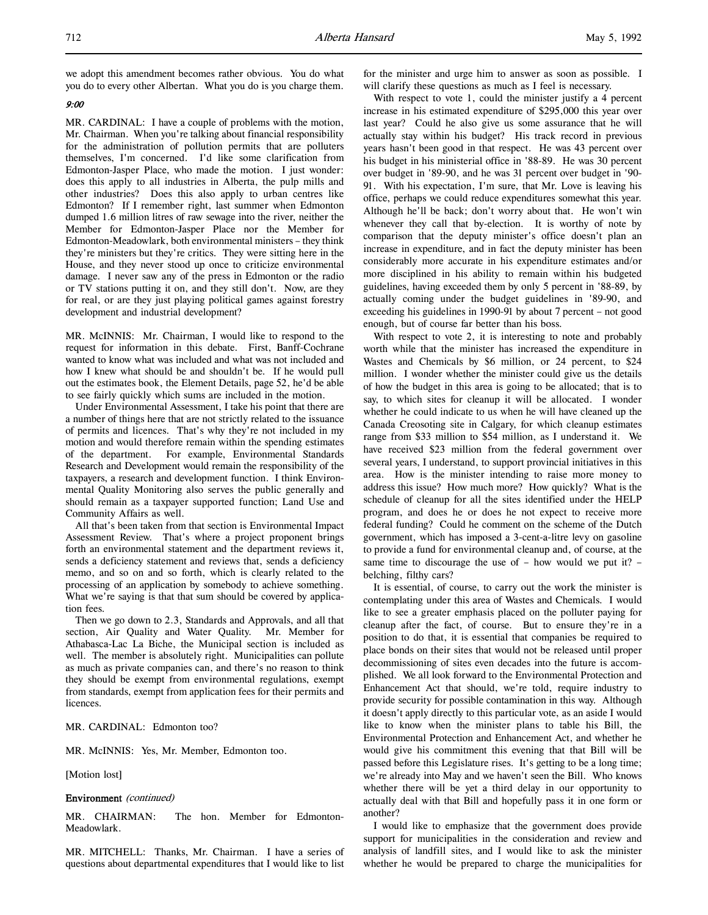we adopt this amendment becomes rather obvious. You do what you do to every other Albertan. What you do is you charge them.

# 9:00

MR. CARDINAL: I have a couple of problems with the motion, Mr. Chairman. When you're talking about financial responsibility for the administration of pollution permits that are polluters themselves, I'm concerned. I'd like some clarification from Edmonton-Jasper Place, who made the motion. I just wonder: does this apply to all industries in Alberta, the pulp mills and other industries? Does this also apply to urban centres like Edmonton? If I remember right, last summer when Edmonton dumped 1.6 million litres of raw sewage into the river, neither the Member for Edmonton-Jasper Place nor the Member for Edmonton-Meadowlark, both environmental ministers – they think they're ministers but they're critics. They were sitting here in the House, and they never stood up once to criticize environmental damage. I never saw any of the press in Edmonton or the radio or TV stations putting it on, and they still don't. Now, are they for real, or are they just playing political games against forestry development and industrial development?

MR. McINNIS: Mr. Chairman, I would like to respond to the request for information in this debate. First, Banff-Cochrane wanted to know what was included and what was not included and how I knew what should be and shouldn't be. If he would pull out the estimates book, the Element Details, page 52, he'd be able to see fairly quickly which sums are included in the motion.

Under Environmental Assessment, I take his point that there are a number of things here that are not strictly related to the issuance of permits and licences. That's why they're not included in my motion and would therefore remain within the spending estimates of the department. For example, Environmental Standards Research and Development would remain the responsibility of the taxpayers, a research and development function. I think Environmental Quality Monitoring also serves the public generally and should remain as a taxpayer supported function; Land Use and Community Affairs as well.

All that's been taken from that section is Environmental Impact Assessment Review. That's where a project proponent brings forth an environmental statement and the department reviews it, sends a deficiency statement and reviews that, sends a deficiency memo, and so on and so forth, which is clearly related to the processing of an application by somebody to achieve something. What we're saying is that that sum should be covered by application fees.

Then we go down to 2.3, Standards and Approvals, and all that section, Air Quality and Water Quality. Mr. Member for Athabasca-Lac La Biche, the Municipal section is included as well. The member is absolutely right. Municipalities can pollute as much as private companies can, and there's no reason to think they should be exempt from environmental regulations, exempt from standards, exempt from application fees for their permits and licences.

### MR. CARDINAL: Edmonton too?

MR. McINNIS: Yes, Mr. Member, Edmonton too.

[Motion lost]

#### Environment (continued)

MR. CHAIRMAN: The hon. Member for Edmonton-Meadowlark.

MR. MITCHELL: Thanks, Mr. Chairman. I have a series of questions about departmental expenditures that I would like to list for the minister and urge him to answer as soon as possible. I will clarify these questions as much as I feel is necessary.

With respect to vote 1, could the minister justify a 4 percent increase in his estimated expenditure of \$295,000 this year over last year? Could he also give us some assurance that he will actually stay within his budget? His track record in previous years hasn't been good in that respect. He was 43 percent over his budget in his ministerial office in '88-89. He was 30 percent over budget in '89-90, and he was 31 percent over budget in '90- 91. With his expectation, I'm sure, that Mr. Love is leaving his office, perhaps we could reduce expenditures somewhat this year. Although he'll be back; don't worry about that. He won't win whenever they call that by-election. It is worthy of note by comparison that the deputy minister's office doesn't plan an increase in expenditure, and in fact the deputy minister has been considerably more accurate in his expenditure estimates and/or more disciplined in his ability to remain within his budgeted guidelines, having exceeded them by only 5 percent in '88-89, by actually coming under the budget guidelines in '89-90, and exceeding his guidelines in 1990-91 by about 7 percent – not good enough, but of course far better than his boss.

With respect to vote 2, it is interesting to note and probably worth while that the minister has increased the expenditure in Wastes and Chemicals by \$6 million, or 24 percent, to \$24 million. I wonder whether the minister could give us the details of how the budget in this area is going to be allocated; that is to say, to which sites for cleanup it will be allocated. I wonder whether he could indicate to us when he will have cleaned up the Canada Creosoting site in Calgary, for which cleanup estimates range from \$33 million to \$54 million, as I understand it. We have received \$23 million from the federal government over several years, I understand, to support provincial initiatives in this area. How is the minister intending to raise more money to address this issue? How much more? How quickly? What is the schedule of cleanup for all the sites identified under the HELP program, and does he or does he not expect to receive more federal funding? Could he comment on the scheme of the Dutch government, which has imposed a 3-cent-a-litre levy on gasoline to provide a fund for environmental cleanup and, of course, at the same time to discourage the use of – how would we put it? – belching, filthy cars?

It is essential, of course, to carry out the work the minister is contemplating under this area of Wastes and Chemicals. I would like to see a greater emphasis placed on the polluter paying for cleanup after the fact, of course. But to ensure they're in a position to do that, it is essential that companies be required to place bonds on their sites that would not be released until proper decommissioning of sites even decades into the future is accomplished. We all look forward to the Environmental Protection and Enhancement Act that should, we're told, require industry to provide security for possible contamination in this way. Although it doesn't apply directly to this particular vote, as an aside I would like to know when the minister plans to table his Bill, the Environmental Protection and Enhancement Act, and whether he would give his commitment this evening that that Bill will be passed before this Legislature rises. It's getting to be a long time; we're already into May and we haven't seen the Bill. Who knows whether there will be yet a third delay in our opportunity to actually deal with that Bill and hopefully pass it in one form or another?

I would like to emphasize that the government does provide support for municipalities in the consideration and review and analysis of landfill sites, and I would like to ask the minister whether he would be prepared to charge the municipalities for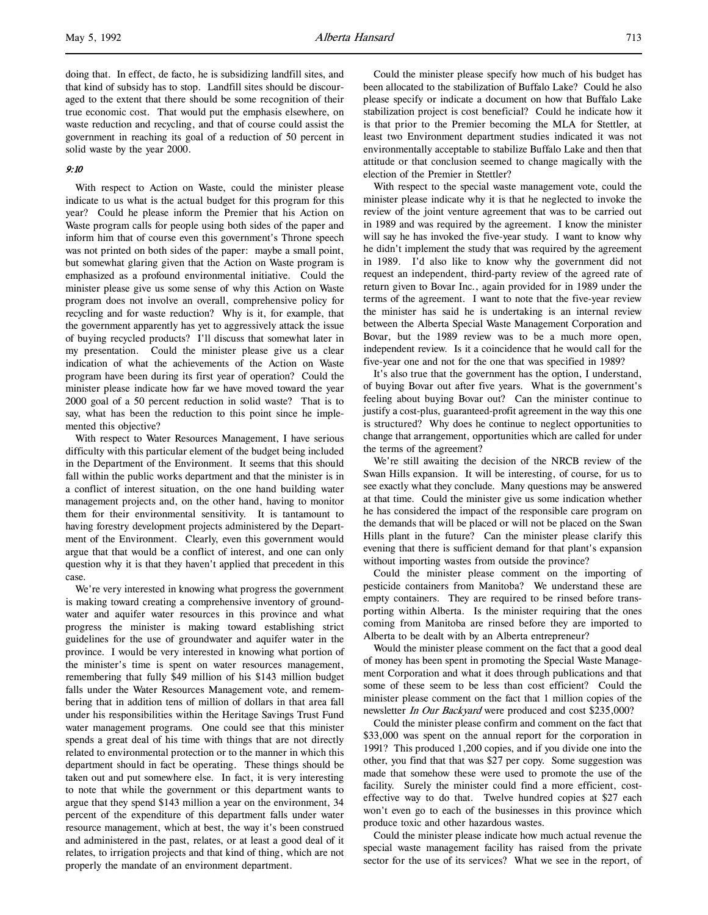doing that. In effect, de facto, he is subsidizing landfill sites, and that kind of subsidy has to stop. Landfill sites should be discouraged to the extent that there should be some recognition of their true economic cost. That would put the emphasis elsewhere, on waste reduction and recycling, and that of course could assist the government in reaching its goal of a reduction of 50 percent in solid waste by the year 2000.

# 9:10

With respect to Action on Waste, could the minister please indicate to us what is the actual budget for this program for this year? Could he please inform the Premier that his Action on Waste program calls for people using both sides of the paper and inform him that of course even this government's Throne speech was not printed on both sides of the paper: maybe a small point, but somewhat glaring given that the Action on Waste program is emphasized as a profound environmental initiative. Could the minister please give us some sense of why this Action on Waste program does not involve an overall, comprehensive policy for recycling and for waste reduction? Why is it, for example, that the government apparently has yet to aggressively attack the issue of buying recycled products? I'll discuss that somewhat later in my presentation. Could the minister please give us a clear indication of what the achievements of the Action on Waste program have been during its first year of operation? Could the minister please indicate how far we have moved toward the year 2000 goal of a 50 percent reduction in solid waste? That is to say, what has been the reduction to this point since he implemented this objective?

With respect to Water Resources Management, I have serious difficulty with this particular element of the budget being included in the Department of the Environment. It seems that this should fall within the public works department and that the minister is in a conflict of interest situation, on the one hand building water management projects and, on the other hand, having to monitor them for their environmental sensitivity. It is tantamount to having forestry development projects administered by the Department of the Environment. Clearly, even this government would argue that that would be a conflict of interest, and one can only question why it is that they haven't applied that precedent in this case.

We're very interested in knowing what progress the government is making toward creating a comprehensive inventory of groundwater and aquifer water resources in this province and what progress the minister is making toward establishing strict guidelines for the use of groundwater and aquifer water in the province. I would be very interested in knowing what portion of the minister's time is spent on water resources management, remembering that fully \$49 million of his \$143 million budget falls under the Water Resources Management vote, and remembering that in addition tens of million of dollars in that area fall under his responsibilities within the Heritage Savings Trust Fund water management programs. One could see that this minister spends a great deal of his time with things that are not directly related to environmental protection or to the manner in which this department should in fact be operating. These things should be taken out and put somewhere else. In fact, it is very interesting to note that while the government or this department wants to argue that they spend \$143 million a year on the environment, 34 percent of the expenditure of this department falls under water resource management, which at best, the way it's been construed and administered in the past, relates, or at least a good deal of it relates, to irrigation projects and that kind of thing, which are not properly the mandate of an environment department.

Could the minister please specify how much of his budget has been allocated to the stabilization of Buffalo Lake? Could he also please specify or indicate a document on how that Buffalo Lake stabilization project is cost beneficial? Could he indicate how it is that prior to the Premier becoming the MLA for Stettler, at least two Environment department studies indicated it was not environmentally acceptable to stabilize Buffalo Lake and then that attitude or that conclusion seemed to change magically with the election of the Premier in Stettler?

With respect to the special waste management vote, could the minister please indicate why it is that he neglected to invoke the review of the joint venture agreement that was to be carried out in 1989 and was required by the agreement. I know the minister will say he has invoked the five-year study. I want to know why he didn't implement the study that was required by the agreement in 1989. I'd also like to know why the government did not request an independent, third-party review of the agreed rate of return given to Bovar Inc., again provided for in 1989 under the terms of the agreement. I want to note that the five-year review the minister has said he is undertaking is an internal review between the Alberta Special Waste Management Corporation and Bovar, but the 1989 review was to be a much more open, independent review. Is it a coincidence that he would call for the five-year one and not for the one that was specified in 1989?

It's also true that the government has the option, I understand, of buying Bovar out after five years. What is the government's feeling about buying Bovar out? Can the minister continue to justify a cost-plus, guaranteed-profit agreement in the way this one is structured? Why does he continue to neglect opportunities to change that arrangement, opportunities which are called for under the terms of the agreement?

We're still awaiting the decision of the NRCB review of the Swan Hills expansion. It will be interesting, of course, for us to see exactly what they conclude. Many questions may be answered at that time. Could the minister give us some indication whether he has considered the impact of the responsible care program on the demands that will be placed or will not be placed on the Swan Hills plant in the future? Can the minister please clarify this evening that there is sufficient demand for that plant's expansion without importing wastes from outside the province?

Could the minister please comment on the importing of pesticide containers from Manitoba? We understand these are empty containers. They are required to be rinsed before transporting within Alberta. Is the minister requiring that the ones coming from Manitoba are rinsed before they are imported to Alberta to be dealt with by an Alberta entrepreneur?

Would the minister please comment on the fact that a good deal of money has been spent in promoting the Special Waste Management Corporation and what it does through publications and that some of these seem to be less than cost efficient? Could the minister please comment on the fact that 1 million copies of the newsletter In Our Backyard were produced and cost \$235,000?

Could the minister please confirm and comment on the fact that \$33,000 was spent on the annual report for the corporation in 1991? This produced 1,200 copies, and if you divide one into the other, you find that that was \$27 per copy. Some suggestion was made that somehow these were used to promote the use of the facility. Surely the minister could find a more efficient, costeffective way to do that. Twelve hundred copies at \$27 each won't even go to each of the businesses in this province which produce toxic and other hazardous wastes.

Could the minister please indicate how much actual revenue the special waste management facility has raised from the private sector for the use of its services? What we see in the report, of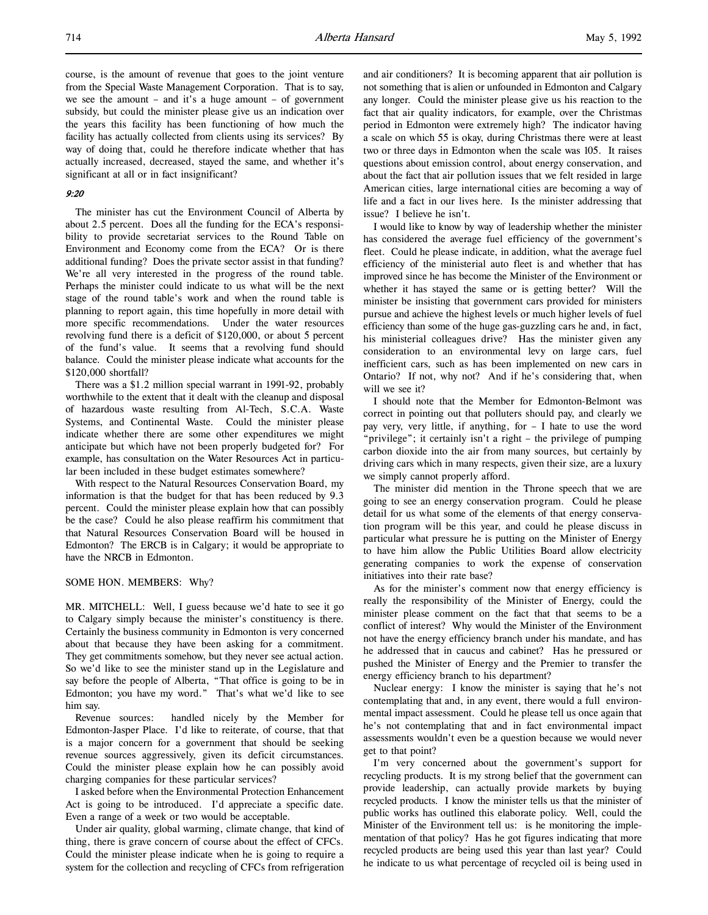course, is the amount of revenue that goes to the joint venture from the Special Waste Management Corporation. That is to say, we see the amount – and it's a huge amount – of government subsidy, but could the minister please give us an indication over the years this facility has been functioning of how much the facility has actually collected from clients using its services? By way of doing that, could he therefore indicate whether that has actually increased, decreased, stayed the same, and whether it's significant at all or in fact insignificant?

# 9:20

The minister has cut the Environment Council of Alberta by about 2.5 percent. Does all the funding for the ECA's responsibility to provide secretariat services to the Round Table on Environment and Economy come from the ECA? Or is there additional funding? Does the private sector assist in that funding? We're all very interested in the progress of the round table. Perhaps the minister could indicate to us what will be the next stage of the round table's work and when the round table is planning to report again, this time hopefully in more detail with more specific recommendations. Under the water resources revolving fund there is a deficit of \$120,000, or about 5 percent of the fund's value. It seems that a revolving fund should balance. Could the minister please indicate what accounts for the \$120,000 shortfall?

There was a \$1.2 million special warrant in 1991-92, probably worthwhile to the extent that it dealt with the cleanup and disposal of hazardous waste resulting from Al-Tech, S.C.A. Waste Systems, and Continental Waste. Could the minister please indicate whether there are some other expenditures we might anticipate but which have not been properly budgeted for? For example, has consultation on the Water Resources Act in particular been included in these budget estimates somewhere?

With respect to the Natural Resources Conservation Board, my information is that the budget for that has been reduced by 9.3 percent. Could the minister please explain how that can possibly be the case? Could he also please reaffirm his commitment that that Natural Resources Conservation Board will be housed in Edmonton? The ERCB is in Calgary; it would be appropriate to have the NRCB in Edmonton.

### SOME HON. MEMBERS: Why?

MR. MITCHELL: Well, I guess because we'd hate to see it go to Calgary simply because the minister's constituency is there. Certainly the business community in Edmonton is very concerned about that because they have been asking for a commitment. They get commitments somehow, but they never see actual action. So we'd like to see the minister stand up in the Legislature and say before the people of Alberta, "That office is going to be in Edmonton; you have my word." That's what we'd like to see him say.

Revenue sources: handled nicely by the Member for Edmonton-Jasper Place. I'd like to reiterate, of course, that that is a major concern for a government that should be seeking revenue sources aggressively, given its deficit circumstances. Could the minister please explain how he can possibly avoid charging companies for these particular services?

I asked before when the Environmental Protection Enhancement Act is going to be introduced. I'd appreciate a specific date. Even a range of a week or two would be acceptable.

Under air quality, global warming, climate change, that kind of thing, there is grave concern of course about the effect of CFCs. Could the minister please indicate when he is going to require a system for the collection and recycling of CFCs from refrigeration

and air conditioners? It is becoming apparent that air pollution is not something that is alien or unfounded in Edmonton and Calgary any longer. Could the minister please give us his reaction to the fact that air quality indicators, for example, over the Christmas period in Edmonton were extremely high? The indicator having a scale on which 55 is okay, during Christmas there were at least two or three days in Edmonton when the scale was 105. It raises questions about emission control, about energy conservation, and about the fact that air pollution issues that we felt resided in large American cities, large international cities are becoming a way of life and a fact in our lives here. Is the minister addressing that issue? I believe he isn't.

I would like to know by way of leadership whether the minister has considered the average fuel efficiency of the government's fleet. Could he please indicate, in addition, what the average fuel efficiency of the ministerial auto fleet is and whether that has improved since he has become the Minister of the Environment or whether it has stayed the same or is getting better? Will the minister be insisting that government cars provided for ministers pursue and achieve the highest levels or much higher levels of fuel efficiency than some of the huge gas-guzzling cars he and, in fact, his ministerial colleagues drive? Has the minister given any consideration to an environmental levy on large cars, fuel inefficient cars, such as has been implemented on new cars in Ontario? If not, why not? And if he's considering that, when will we see it?

I should note that the Member for Edmonton-Belmont was correct in pointing out that polluters should pay, and clearly we pay very, very little, if anything, for – I hate to use the word "privilege"; it certainly isn't a right – the privilege of pumping carbon dioxide into the air from many sources, but certainly by driving cars which in many respects, given their size, are a luxury we simply cannot properly afford.

The minister did mention in the Throne speech that we are going to see an energy conservation program. Could he please detail for us what some of the elements of that energy conservation program will be this year, and could he please discuss in particular what pressure he is putting on the Minister of Energy to have him allow the Public Utilities Board allow electricity generating companies to work the expense of conservation initiatives into their rate base?

As for the minister's comment now that energy efficiency is really the responsibility of the Minister of Energy, could the minister please comment on the fact that that seems to be a conflict of interest? Why would the Minister of the Environment not have the energy efficiency branch under his mandate, and has he addressed that in caucus and cabinet? Has he pressured or pushed the Minister of Energy and the Premier to transfer the energy efficiency branch to his department?

Nuclear energy: I know the minister is saying that he's not contemplating that and, in any event, there would a full environmental impact assessment. Could he please tell us once again that he's not contemplating that and in fact environmental impact assessments wouldn't even be a question because we would never get to that point?

I'm very concerned about the government's support for recycling products. It is my strong belief that the government can provide leadership, can actually provide markets by buying recycled products. I know the minister tells us that the minister of public works has outlined this elaborate policy. Well, could the Minister of the Environment tell us: is he monitoring the implementation of that policy? Has he got figures indicating that more recycled products are being used this year than last year? Could he indicate to us what percentage of recycled oil is being used in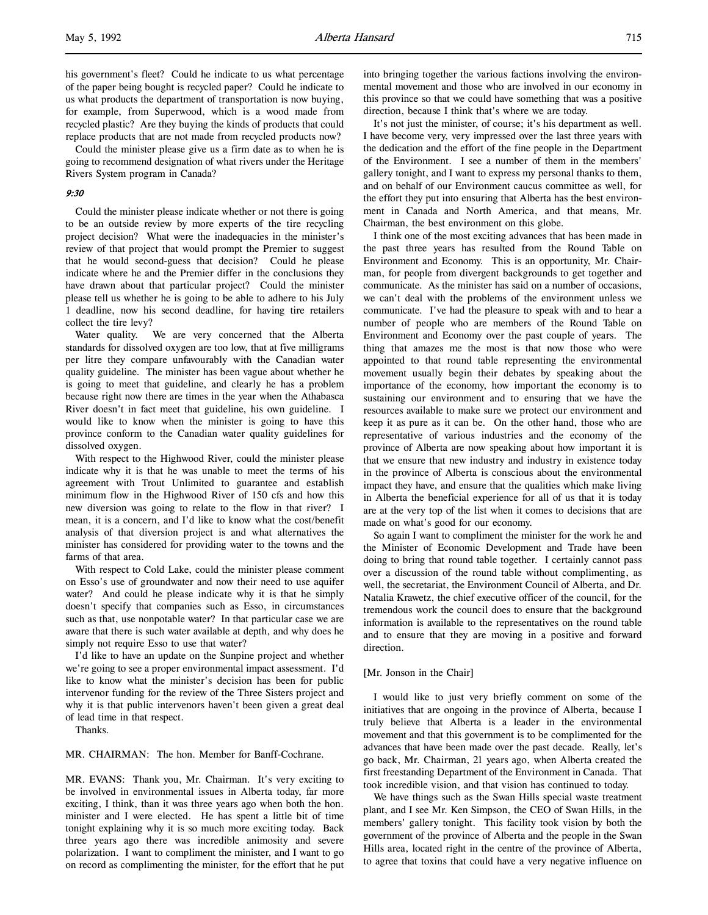his government's fleet? Could he indicate to us what percentage of the paper being bought is recycled paper? Could he indicate to us what products the department of transportation is now buying, for example, from Superwood, which is a wood made from recycled plastic? Are they buying the kinds of products that could replace products that are not made from recycled products now?

Could the minister please give us a firm date as to when he is going to recommend designation of what rivers under the Heritage Rivers System program in Canada?

### 9:30

Could the minister please indicate whether or not there is going to be an outside review by more experts of the tire recycling project decision? What were the inadequacies in the minister's review of that project that would prompt the Premier to suggest that he would second-guess that decision? Could he please indicate where he and the Premier differ in the conclusions they have drawn about that particular project? Could the minister please tell us whether he is going to be able to adhere to his July 1 deadline, now his second deadline, for having tire retailers collect the tire levy?

Water quality. We are very concerned that the Alberta standards for dissolved oxygen are too low, that at five milligrams per litre they compare unfavourably with the Canadian water quality guideline. The minister has been vague about whether he is going to meet that guideline, and clearly he has a problem because right now there are times in the year when the Athabasca River doesn't in fact meet that guideline, his own guideline. I would like to know when the minister is going to have this province conform to the Canadian water quality guidelines for dissolved oxygen.

With respect to the Highwood River, could the minister please indicate why it is that he was unable to meet the terms of his agreement with Trout Unlimited to guarantee and establish minimum flow in the Highwood River of 150 cfs and how this new diversion was going to relate to the flow in that river? I mean, it is a concern, and I'd like to know what the cost/benefit analysis of that diversion project is and what alternatives the minister has considered for providing water to the towns and the farms of that area.

With respect to Cold Lake, could the minister please comment on Esso's use of groundwater and now their need to use aquifer water? And could he please indicate why it is that he simply doesn't specify that companies such as Esso, in circumstances such as that, use nonpotable water? In that particular case we are aware that there is such water available at depth, and why does he simply not require Esso to use that water?

I'd like to have an update on the Sunpine project and whether we're going to see a proper environmental impact assessment. I'd like to know what the minister's decision has been for public intervenor funding for the review of the Three Sisters project and why it is that public intervenors haven't been given a great deal of lead time in that respect.

Thanks.

MR. CHAIRMAN: The hon. Member for Banff-Cochrane.

MR. EVANS: Thank you, Mr. Chairman. It's very exciting to be involved in environmental issues in Alberta today, far more exciting, I think, than it was three years ago when both the hon. minister and I were elected. He has spent a little bit of time tonight explaining why it is so much more exciting today. Back three years ago there was incredible animosity and severe polarization. I want to compliment the minister, and I want to go on record as complimenting the minister, for the effort that he put into bringing together the various factions involving the environmental movement and those who are involved in our economy in this province so that we could have something that was a positive direction, because I think that's where we are today.

It's not just the minister, of course; it's his department as well. I have become very, very impressed over the last three years with the dedication and the effort of the fine people in the Department of the Environment. I see a number of them in the members' gallery tonight, and I want to express my personal thanks to them, and on behalf of our Environment caucus committee as well, for the effort they put into ensuring that Alberta has the best environment in Canada and North America, and that means, Mr. Chairman, the best environment on this globe.

I think one of the most exciting advances that has been made in the past three years has resulted from the Round Table on Environment and Economy. This is an opportunity, Mr. Chairman, for people from divergent backgrounds to get together and communicate. As the minister has said on a number of occasions, we can't deal with the problems of the environment unless we communicate. I've had the pleasure to speak with and to hear a number of people who are members of the Round Table on Environment and Economy over the past couple of years. The thing that amazes me the most is that now those who were appointed to that round table representing the environmental movement usually begin their debates by speaking about the importance of the economy, how important the economy is to sustaining our environment and to ensuring that we have the resources available to make sure we protect our environment and keep it as pure as it can be. On the other hand, those who are representative of various industries and the economy of the province of Alberta are now speaking about how important it is that we ensure that new industry and industry in existence today in the province of Alberta is conscious about the environmental impact they have, and ensure that the qualities which make living in Alberta the beneficial experience for all of us that it is today are at the very top of the list when it comes to decisions that are made on what's good for our economy.

So again I want to compliment the minister for the work he and the Minister of Economic Development and Trade have been doing to bring that round table together. I certainly cannot pass over a discussion of the round table without complimenting, as well, the secretariat, the Environment Council of Alberta, and Dr. Natalia Krawetz, the chief executive officer of the council, for the tremendous work the council does to ensure that the background information is available to the representatives on the round table and to ensure that they are moving in a positive and forward direction.

### [Mr. Jonson in the Chair]

I would like to just very briefly comment on some of the initiatives that are ongoing in the province of Alberta, because I truly believe that Alberta is a leader in the environmental movement and that this government is to be complimented for the advances that have been made over the past decade. Really, let's go back, Mr. Chairman, 21 years ago, when Alberta created the first freestanding Department of the Environment in Canada. That took incredible vision, and that vision has continued to today.

We have things such as the Swan Hills special waste treatment plant, and I see Mr. Ken Simpson, the CEO of Swan Hills, in the members' gallery tonight. This facility took vision by both the government of the province of Alberta and the people in the Swan Hills area, located right in the centre of the province of Alberta, to agree that toxins that could have a very negative influence on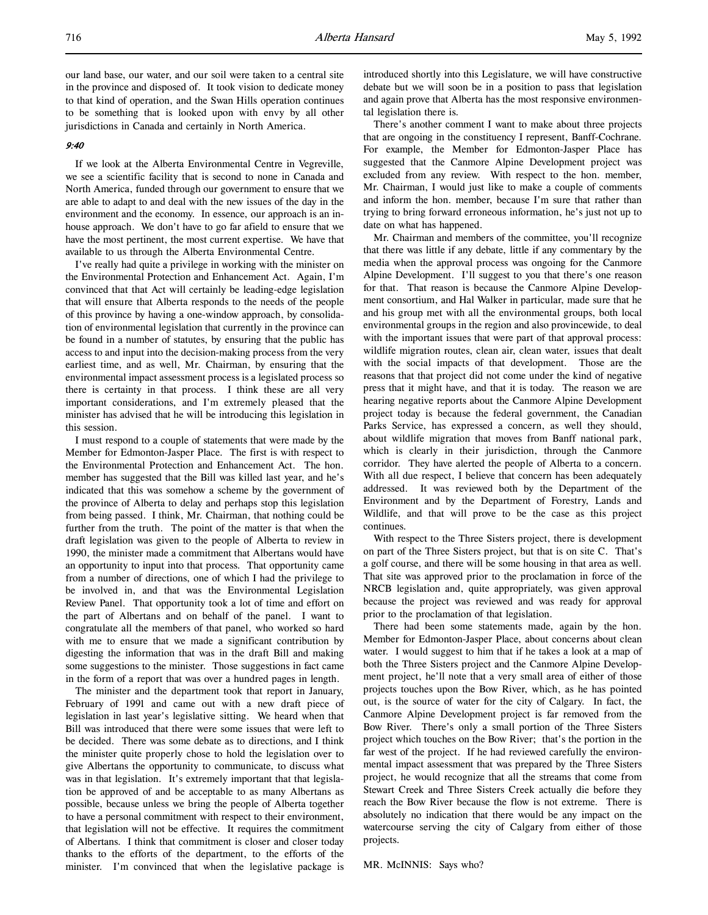our land base, our water, and our soil were taken to a central site in the province and disposed of. It took vision to dedicate money to that kind of operation, and the Swan Hills operation continues to be something that is looked upon with envy by all other jurisdictions in Canada and certainly in North America.

# 9:40

If we look at the Alberta Environmental Centre in Vegreville, we see a scientific facility that is second to none in Canada and North America, funded through our government to ensure that we are able to adapt to and deal with the new issues of the day in the environment and the economy. In essence, our approach is an inhouse approach. We don't have to go far afield to ensure that we have the most pertinent, the most current expertise. We have that available to us through the Alberta Environmental Centre.

I've really had quite a privilege in working with the minister on the Environmental Protection and Enhancement Act. Again, I'm convinced that that Act will certainly be leading-edge legislation that will ensure that Alberta responds to the needs of the people of this province by having a one-window approach, by consolidation of environmental legislation that currently in the province can be found in a number of statutes, by ensuring that the public has access to and input into the decision-making process from the very earliest time, and as well, Mr. Chairman, by ensuring that the environmental impact assessment process is a legislated process so there is certainty in that process. I think these are all very important considerations, and I'm extremely pleased that the minister has advised that he will be introducing this legislation in this session.

I must respond to a couple of statements that were made by the Member for Edmonton-Jasper Place. The first is with respect to the Environmental Protection and Enhancement Act. The hon. member has suggested that the Bill was killed last year, and he's indicated that this was somehow a scheme by the government of the province of Alberta to delay and perhaps stop this legislation from being passed. I think, Mr. Chairman, that nothing could be further from the truth. The point of the matter is that when the draft legislation was given to the people of Alberta to review in 1990, the minister made a commitment that Albertans would have an opportunity to input into that process. That opportunity came from a number of directions, one of which I had the privilege to be involved in, and that was the Environmental Legislation Review Panel. That opportunity took a lot of time and effort on the part of Albertans and on behalf of the panel. I want to congratulate all the members of that panel, who worked so hard with me to ensure that we made a significant contribution by digesting the information that was in the draft Bill and making some suggestions to the minister. Those suggestions in fact came in the form of a report that was over a hundred pages in length.

The minister and the department took that report in January, February of 1991 and came out with a new draft piece of legislation in last year's legislative sitting. We heard when that Bill was introduced that there were some issues that were left to be decided. There was some debate as to directions, and I think the minister quite properly chose to hold the legislation over to give Albertans the opportunity to communicate, to discuss what was in that legislation. It's extremely important that that legislation be approved of and be acceptable to as many Albertans as possible, because unless we bring the people of Alberta together to have a personal commitment with respect to their environment, that legislation will not be effective. It requires the commitment of Albertans. I think that commitment is closer and closer today thanks to the efforts of the department, to the efforts of the minister. I'm convinced that when the legislative package is

introduced shortly into this Legislature, we will have constructive debate but we will soon be in a position to pass that legislation and again prove that Alberta has the most responsive environmental legislation there is.

There's another comment I want to make about three projects that are ongoing in the constituency I represent, Banff-Cochrane. For example, the Member for Edmonton-Jasper Place has suggested that the Canmore Alpine Development project was excluded from any review. With respect to the hon. member, Mr. Chairman, I would just like to make a couple of comments and inform the hon. member, because I'm sure that rather than trying to bring forward erroneous information, he's just not up to date on what has happened.

Mr. Chairman and members of the committee, you'll recognize that there was little if any debate, little if any commentary by the media when the approval process was ongoing for the Canmore Alpine Development. I'll suggest to you that there's one reason for that. That reason is because the Canmore Alpine Development consortium, and Hal Walker in particular, made sure that he and his group met with all the environmental groups, both local environmental groups in the region and also provincewide, to deal with the important issues that were part of that approval process: wildlife migration routes, clean air, clean water, issues that dealt with the social impacts of that development. Those are the reasons that that project did not come under the kind of negative press that it might have, and that it is today. The reason we are hearing negative reports about the Canmore Alpine Development project today is because the federal government, the Canadian Parks Service, has expressed a concern, as well they should, about wildlife migration that moves from Banff national park, which is clearly in their jurisdiction, through the Canmore corridor. They have alerted the people of Alberta to a concern. With all due respect, I believe that concern has been adequately addressed. It was reviewed both by the Department of the Environment and by the Department of Forestry, Lands and Wildlife, and that will prove to be the case as this project continues.

With respect to the Three Sisters project, there is development on part of the Three Sisters project, but that is on site C. That's a golf course, and there will be some housing in that area as well. That site was approved prior to the proclamation in force of the NRCB legislation and, quite appropriately, was given approval because the project was reviewed and was ready for approval prior to the proclamation of that legislation.

There had been some statements made, again by the hon. Member for Edmonton-Jasper Place, about concerns about clean water. I would suggest to him that if he takes a look at a map of both the Three Sisters project and the Canmore Alpine Development project, he'll note that a very small area of either of those projects touches upon the Bow River, which, as he has pointed out, is the source of water for the city of Calgary. In fact, the Canmore Alpine Development project is far removed from the Bow River. There's only a small portion of the Three Sisters project which touches on the Bow River; that's the portion in the far west of the project. If he had reviewed carefully the environmental impact assessment that was prepared by the Three Sisters project, he would recognize that all the streams that come from Stewart Creek and Three Sisters Creek actually die before they reach the Bow River because the flow is not extreme. There is absolutely no indication that there would be any impact on the watercourse serving the city of Calgary from either of those projects.

MR. McINNIS: Says who?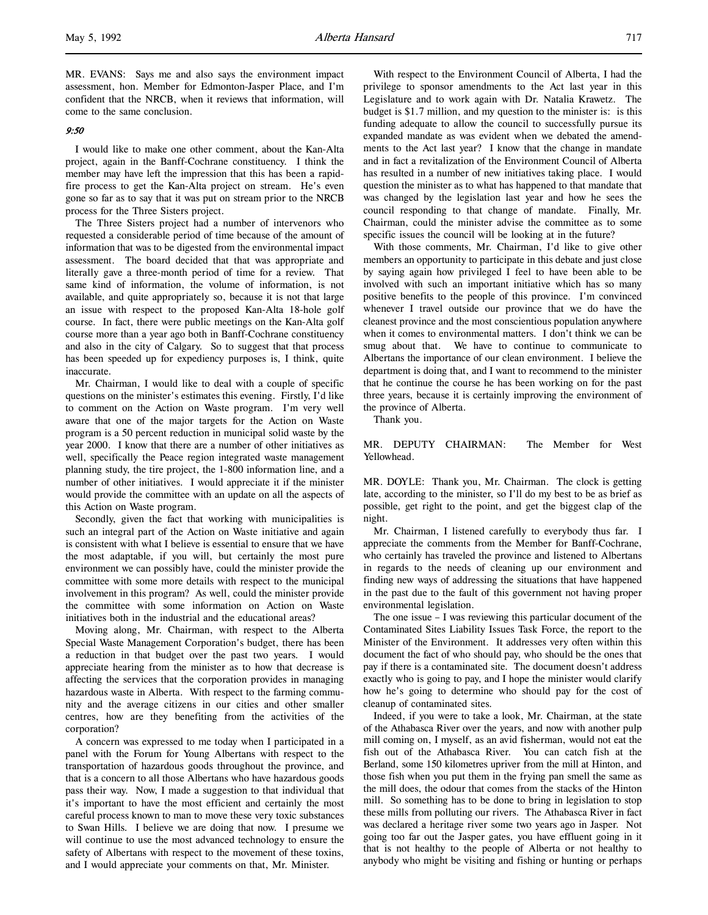MR. EVANS: Says me and also says the environment impact assessment, hon. Member for Edmonton-Jasper Place, and I'm confident that the NRCB, when it reviews that information, will come to the same conclusion.

### 9:50

l,

I would like to make one other comment, about the Kan-Alta project, again in the Banff-Cochrane constituency. I think the member may have left the impression that this has been a rapidfire process to get the Kan-Alta project on stream. He's even gone so far as to say that it was put on stream prior to the NRCB process for the Three Sisters project.

The Three Sisters project had a number of intervenors who requested a considerable period of time because of the amount of information that was to be digested from the environmental impact assessment. The board decided that that was appropriate and literally gave a three-month period of time for a review. That same kind of information, the volume of information, is not available, and quite appropriately so, because it is not that large an issue with respect to the proposed Kan-Alta 18-hole golf course. In fact, there were public meetings on the Kan-Alta golf course more than a year ago both in Banff-Cochrane constituency and also in the city of Calgary. So to suggest that that process has been speeded up for expediency purposes is, I think, quite inaccurate.

Mr. Chairman, I would like to deal with a couple of specific questions on the minister's estimates this evening. Firstly, I'd like to comment on the Action on Waste program. I'm very well aware that one of the major targets for the Action on Waste program is a 50 percent reduction in municipal solid waste by the year 2000. I know that there are a number of other initiatives as well, specifically the Peace region integrated waste management planning study, the tire project, the 1-800 information line, and a number of other initiatives. I would appreciate it if the minister would provide the committee with an update on all the aspects of this Action on Waste program.

Secondly, given the fact that working with municipalities is such an integral part of the Action on Waste initiative and again is consistent with what I believe is essential to ensure that we have the most adaptable, if you will, but certainly the most pure environment we can possibly have, could the minister provide the committee with some more details with respect to the municipal involvement in this program? As well, could the minister provide the committee with some information on Action on Waste initiatives both in the industrial and the educational areas?

Moving along, Mr. Chairman, with respect to the Alberta Special Waste Management Corporation's budget, there has been a reduction in that budget over the past two years. I would appreciate hearing from the minister as to how that decrease is affecting the services that the corporation provides in managing hazardous waste in Alberta. With respect to the farming community and the average citizens in our cities and other smaller centres, how are they benefiting from the activities of the corporation?

A concern was expressed to me today when I participated in a panel with the Forum for Young Albertans with respect to the transportation of hazardous goods throughout the province, and that is a concern to all those Albertans who have hazardous goods pass their way. Now, I made a suggestion to that individual that it's important to have the most efficient and certainly the most careful process known to man to move these very toxic substances to Swan Hills. I believe we are doing that now. I presume we will continue to use the most advanced technology to ensure the safety of Albertans with respect to the movement of these toxins, and I would appreciate your comments on that, Mr. Minister.

With respect to the Environment Council of Alberta, I had the privilege to sponsor amendments to the Act last year in this Legislature and to work again with Dr. Natalia Krawetz. The budget is \$1.7 million, and my question to the minister is: is this funding adequate to allow the council to successfully pursue its expanded mandate as was evident when we debated the amendments to the Act last year? I know that the change in mandate and in fact a revitalization of the Environment Council of Alberta has resulted in a number of new initiatives taking place. I would question the minister as to what has happened to that mandate that was changed by the legislation last year and how he sees the council responding to that change of mandate. Finally, Mr. Chairman, could the minister advise the committee as to some specific issues the council will be looking at in the future?

With those comments, Mr. Chairman, I'd like to give other members an opportunity to participate in this debate and just close by saying again how privileged I feel to have been able to be involved with such an important initiative which has so many positive benefits to the people of this province. I'm convinced whenever I travel outside our province that we do have the cleanest province and the most conscientious population anywhere when it comes to environmental matters. I don't think we can be smug about that. We have to continue to communicate to Albertans the importance of our clean environment. I believe the department is doing that, and I want to recommend to the minister that he continue the course he has been working on for the past three years, because it is certainly improving the environment of the province of Alberta.

Thank you.

MR. DEPUTY CHAIRMAN: The Member for West Yellowhead.

MR. DOYLE: Thank you, Mr. Chairman. The clock is getting late, according to the minister, so I'll do my best to be as brief as possible, get right to the point, and get the biggest clap of the night.

Mr. Chairman, I listened carefully to everybody thus far. I appreciate the comments from the Member for Banff-Cochrane, who certainly has traveled the province and listened to Albertans in regards to the needs of cleaning up our environment and finding new ways of addressing the situations that have happened in the past due to the fault of this government not having proper environmental legislation.

The one issue – I was reviewing this particular document of the Contaminated Sites Liability Issues Task Force, the report to the Minister of the Environment. It addresses very often within this document the fact of who should pay, who should be the ones that pay if there is a contaminated site. The document doesn't address exactly who is going to pay, and I hope the minister would clarify how he's going to determine who should pay for the cost of cleanup of contaminated sites.

Indeed, if you were to take a look, Mr. Chairman, at the state of the Athabasca River over the years, and now with another pulp mill coming on, I myself, as an avid fisherman, would not eat the fish out of the Athabasca River. You can catch fish at the Berland, some 150 kilometres upriver from the mill at Hinton, and those fish when you put them in the frying pan smell the same as the mill does, the odour that comes from the stacks of the Hinton mill. So something has to be done to bring in legislation to stop these mills from polluting our rivers. The Athabasca River in fact was declared a heritage river some two years ago in Jasper. Not going too far out the Jasper gates, you have effluent going in it that is not healthy to the people of Alberta or not healthy to anybody who might be visiting and fishing or hunting or perhaps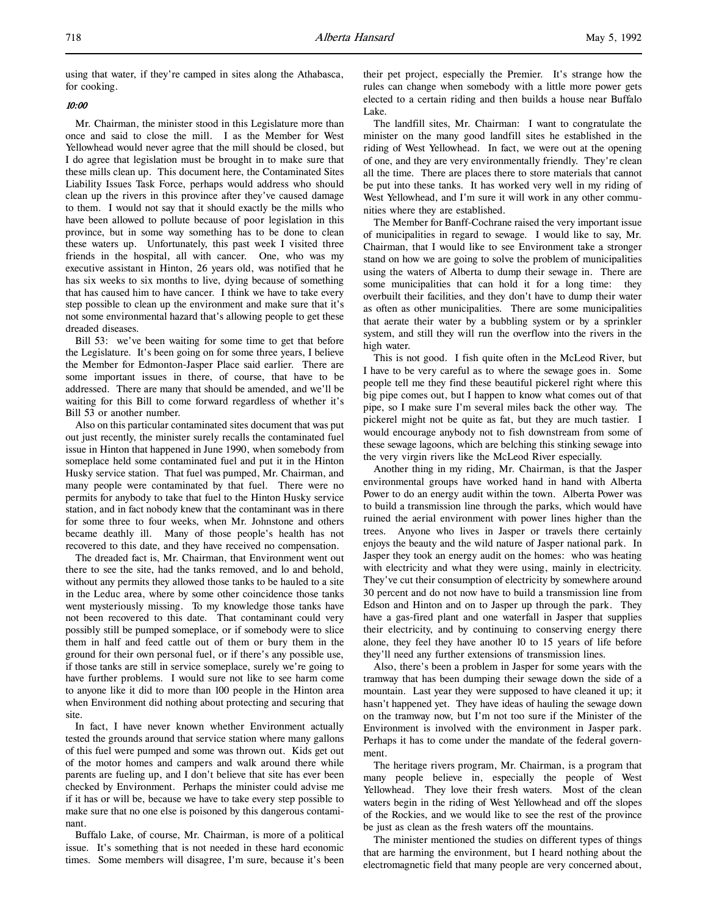using that water, if they're camped in sites along the Athabasca, for cooking.

### 10:00

Mr. Chairman, the minister stood in this Legislature more than once and said to close the mill. I as the Member for West Yellowhead would never agree that the mill should be closed, but I do agree that legislation must be brought in to make sure that these mills clean up. This document here, the Contaminated Sites Liability Issues Task Force, perhaps would address who should clean up the rivers in this province after they've caused damage to them. I would not say that it should exactly be the mills who have been allowed to pollute because of poor legislation in this province, but in some way something has to be done to clean these waters up. Unfortunately, this past week I visited three friends in the hospital, all with cancer. One, who was my executive assistant in Hinton, 26 years old, was notified that he has six weeks to six months to live, dying because of something that has caused him to have cancer. I think we have to take every step possible to clean up the environment and make sure that it's not some environmental hazard that's allowing people to get these dreaded diseases.

Bill 53: we've been waiting for some time to get that before the Legislature. It's been going on for some three years, I believe the Member for Edmonton-Jasper Place said earlier. There are some important issues in there, of course, that have to be addressed. There are many that should be amended, and we'll be waiting for this Bill to come forward regardless of whether it's Bill 53 or another number.

Also on this particular contaminated sites document that was put out just recently, the minister surely recalls the contaminated fuel issue in Hinton that happened in June 1990, when somebody from someplace held some contaminated fuel and put it in the Hinton Husky service station. That fuel was pumped, Mr. Chairman, and many people were contaminated by that fuel. There were no permits for anybody to take that fuel to the Hinton Husky service station, and in fact nobody knew that the contaminant was in there for some three to four weeks, when Mr. Johnstone and others became deathly ill. Many of those people's health has not recovered to this date, and they have received no compensation.

The dreaded fact is, Mr. Chairman, that Environment went out there to see the site, had the tanks removed, and lo and behold, without any permits they allowed those tanks to be hauled to a site in the Leduc area, where by some other coincidence those tanks went mysteriously missing. To my knowledge those tanks have not been recovered to this date. That contaminant could very possibly still be pumped someplace, or if somebody were to slice them in half and feed cattle out of them or bury them in the ground for their own personal fuel, or if there's any possible use, if those tanks are still in service someplace, surely we're going to have further problems. I would sure not like to see harm come to anyone like it did to more than 100 people in the Hinton area when Environment did nothing about protecting and securing that site.

In fact, I have never known whether Environment actually tested the grounds around that service station where many gallons of this fuel were pumped and some was thrown out. Kids get out of the motor homes and campers and walk around there while parents are fueling up, and I don't believe that site has ever been checked by Environment. Perhaps the minister could advise me if it has or will be, because we have to take every step possible to make sure that no one else is poisoned by this dangerous contaminant.

Buffalo Lake, of course, Mr. Chairman, is more of a political issue. It's something that is not needed in these hard economic times. Some members will disagree, I'm sure, because it's been their pet project, especially the Premier. It's strange how the rules can change when somebody with a little more power gets elected to a certain riding and then builds a house near Buffalo Lake.

The landfill sites, Mr. Chairman: I want to congratulate the minister on the many good landfill sites he established in the riding of West Yellowhead. In fact, we were out at the opening of one, and they are very environmentally friendly. They're clean all the time. There are places there to store materials that cannot be put into these tanks. It has worked very well in my riding of West Yellowhead, and I'm sure it will work in any other communities where they are established.

The Member for Banff-Cochrane raised the very important issue of municipalities in regard to sewage. I would like to say, Mr. Chairman, that I would like to see Environment take a stronger stand on how we are going to solve the problem of municipalities using the waters of Alberta to dump their sewage in. There are some municipalities that can hold it for a long time: they overbuilt their facilities, and they don't have to dump their water as often as other municipalities. There are some municipalities that aerate their water by a bubbling system or by a sprinkler system, and still they will run the overflow into the rivers in the high water.

This is not good. I fish quite often in the McLeod River, but I have to be very careful as to where the sewage goes in. Some people tell me they find these beautiful pickerel right where this big pipe comes out, but I happen to know what comes out of that pipe, so I make sure I'm several miles back the other way. The pickerel might not be quite as fat, but they are much tastier. I would encourage anybody not to fish downstream from some of these sewage lagoons, which are belching this stinking sewage into the very virgin rivers like the McLeod River especially.

Another thing in my riding, Mr. Chairman, is that the Jasper environmental groups have worked hand in hand with Alberta Power to do an energy audit within the town. Alberta Power was to build a transmission line through the parks, which would have ruined the aerial environment with power lines higher than the trees. Anyone who lives in Jasper or travels there certainly enjoys the beauty and the wild nature of Jasper national park. In Jasper they took an energy audit on the homes: who was heating with electricity and what they were using, mainly in electricity. They've cut their consumption of electricity by somewhere around 30 percent and do not now have to build a transmission line from Edson and Hinton and on to Jasper up through the park. They have a gas-fired plant and one waterfall in Jasper that supplies their electricity, and by continuing to conserving energy there alone, they feel they have another 10 to 15 years of life before they'll need any further extensions of transmission lines.

Also, there's been a problem in Jasper for some years with the tramway that has been dumping their sewage down the side of a mountain. Last year they were supposed to have cleaned it up; it hasn't happened yet. They have ideas of hauling the sewage down on the tramway now, but I'm not too sure if the Minister of the Environment is involved with the environment in Jasper park. Perhaps it has to come under the mandate of the federal government.

The heritage rivers program, Mr. Chairman, is a program that many people believe in, especially the people of West Yellowhead. They love their fresh waters. Most of the clean waters begin in the riding of West Yellowhead and off the slopes of the Rockies, and we would like to see the rest of the province be just as clean as the fresh waters off the mountains.

The minister mentioned the studies on different types of things that are harming the environment, but I heard nothing about the electromagnetic field that many people are very concerned about,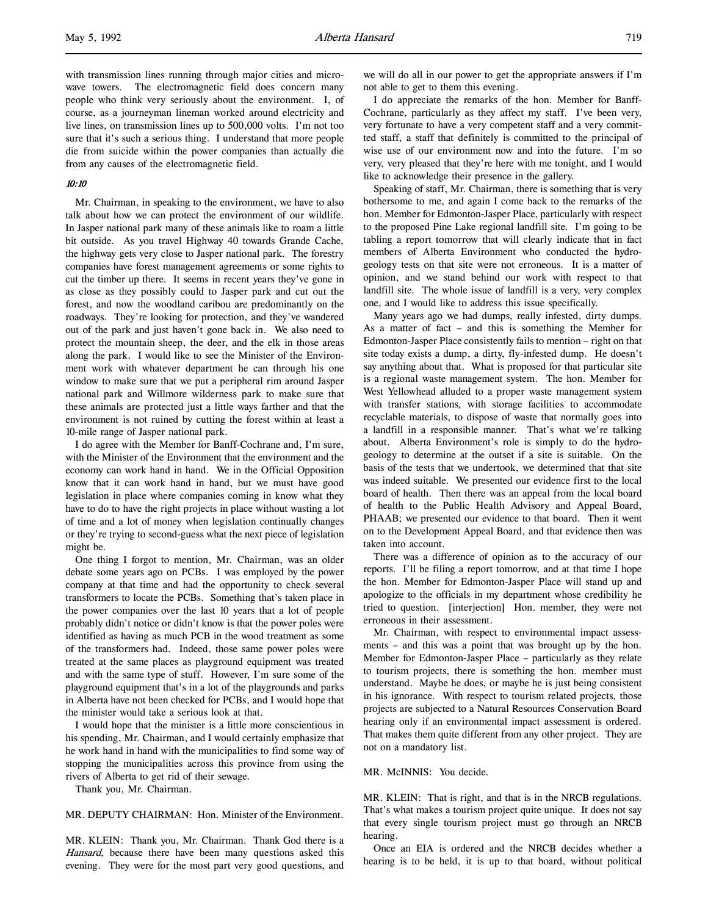l,

with transmission lines running through major cities and microwave towers. The electromagnetic field does concern many people who think very seriously about the environment. I, of course, as a journeyman lineman worked around electricity and live lines, on transmission lines up to 500,000 volts. I'm not too sure that it's such a serious thing. I understand that more people die from suicide within the power companies than actually die from any causes of the electromagnetic field.

# 10:10

Mr. Chairman, in speaking to the environment, we have to also talk about how we can protect the environment of our wildlife. In Jasper national park many of these animals like to roam a little bit outside. As you travel Highway 40 towards Grande Cache, the highway gets very close to Jasper national park. The forestry companies have forest management agreements or some rights to cut the timber up there. It seems in recent years they've gone in as close as they possibly could to Jasper park and cut out the forest, and now the woodland caribou are predominantly on the roadways. They're looking for protection, and they've wandered out of the park and just haven't gone back in. We also need to protect the mountain sheep, the deer, and the elk in those areas along the park. I would like to see the Minister of the Environment work with whatever department he can through his one window to make sure that we put a peripheral rim around Jasper national park and Willmore wilderness park to make sure that these animals are protected just a little ways farther and that the environment is not ruined by cutting the forest within at least a 10-mile range of Jasper national park.

I do agree with the Member for Banff-Cochrane and, I'm sure, with the Minister of the Environment that the environment and the economy can work hand in hand. We in the Official Opposition know that it can work hand in hand, but we must have good legislation in place where companies coming in know what they have to do to have the right projects in place without wasting a lot of time and a lot of money when legislation continually changes or they're trying to second-guess what the next piece of legislation might be.

One thing I forgot to mention, Mr. Chairman, was an older debate some years ago on PCBs. I was employed by the power company at that time and had the opportunity to check several transformers to locate the PCBs. Something that's taken place in the power companies over the last 10 years that a lot of people probably didn't notice or didn't know is that the power poles were identified as having as much PCB in the wood treatment as some of the transformers had. Indeed, those same power poles were treated at the same places as playground equipment was treated and with the same type of stuff. However, I'm sure some of the playground equipment that's in a lot of the playgrounds and parks in Alberta have not been checked for PCBs, and I would hope that the minister would take a serious look at that.

I would hope that the minister is a little more conscientious in his spending, Mr. Chairman, and I would certainly emphasize that he work hand in hand with the municipalities to find some way of stopping the municipalities across this province from using the rivers of Alberta to get rid of their sewage.

Thank you, Mr. Chairman.

### MR. DEPUTY CHAIRMAN: Hon. Minister of the Environment.

MR. KLEIN: Thank you, Mr. Chairman. Thank God there is a Hansard, because there have been many questions asked this evening. They were for the most part very good questions, and

we will do all in our power to get the appropriate answers if I'm not able to get to them this evening.

I do appreciate the remarks of the hon. Member for Banff-Cochrane, particularly as they affect my staff. I've been very, very fortunate to have a very competent staff and a very committed staff, a staff that definitely is committed to the principal of wise use of our environment now and into the future. I'm so very, very pleased that they're here with me tonight, and I would like to acknowledge their presence in the gallery.

Speaking of staff, Mr. Chairman, there is something that is very bothersome to me, and again I come back to the remarks of the hon. Member for Edmonton-Jasper Place, particularly with respect to the proposed Pine Lake regional landfill site. I'm going to be tabling a report tomorrow that will clearly indicate that in fact members of Alberta Environment who conducted the hydrogeology tests on that site were not erroneous. It is a matter of opinion, and we stand behind our work with respect to that landfill site. The whole issue of landfill is a very, very complex one, and I would like to address this issue specifically.

Many years ago we had dumps, really infested, dirty dumps. As a matter of fact – and this is something the Member for Edmonton-Jasper Place consistently fails to mention – right on that site today exists a dump, a dirty, fly-infested dump. He doesn't say anything about that. What is proposed for that particular site is a regional waste management system. The hon. Member for West Yellowhead alluded to a proper waste management system with transfer stations, with storage facilities to accommodate recyclable materials, to dispose of waste that normally goes into a landfill in a responsible manner. That's what we're talking about. Alberta Environment's role is simply to do the hydrogeology to determine at the outset if a site is suitable. On the basis of the tests that we undertook, we determined that that site was indeed suitable. We presented our evidence first to the local board of health. Then there was an appeal from the local board of health to the Public Health Advisory and Appeal Board, PHAAB; we presented our evidence to that board. Then it went on to the Development Appeal Board, and that evidence then was taken into account.

There was a difference of opinion as to the accuracy of our reports. I'll be filing a report tomorrow, and at that time I hope the hon. Member for Edmonton-Jasper Place will stand up and apologize to the officials in my department whose credibility he tried to question. [interjection] Hon. member, they were not erroneous in their assessment.

Mr. Chairman, with respect to environmental impact assessments – and this was a point that was brought up by the hon. Member for Edmonton-Jasper Place – particularly as they relate to tourism projects, there is something the hon. member must understand. Maybe he does, or maybe he is just being consistent in his ignorance. With respect to tourism related projects, those projects are subjected to a Natural Resources Conservation Board hearing only if an environmental impact assessment is ordered. That makes them quite different from any other project. They are not on a mandatory list.

# MR. McINNIS: You decide.

MR. KLEIN: That is right, and that is in the NRCB regulations. That's what makes a tourism project quite unique. It does not say that every single tourism project must go through an NRCB hearing.

Once an EIA is ordered and the NRCB decides whether a hearing is to be held, it is up to that board, without political